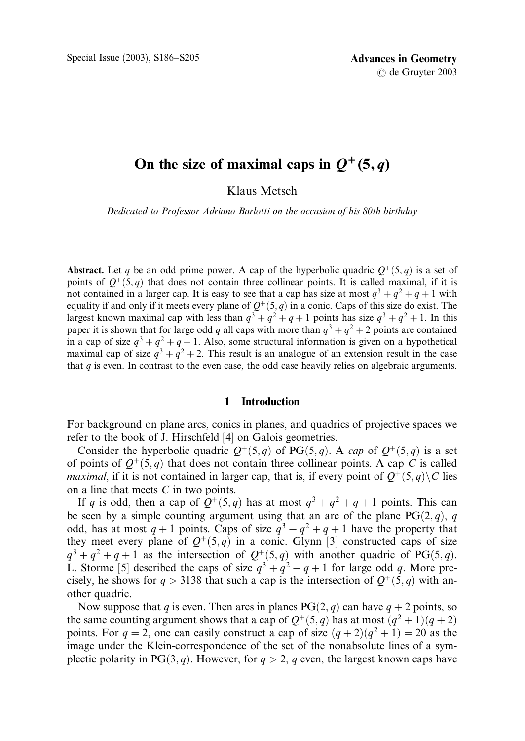# On the size of maximal caps in  $Q^+(5, q)$

Klaus Metsch

Dedicated to Professor Adriano Barlotti on the occasion of his 80th birthday

**Abstract.** Let q be an odd prime power. A cap of the hyperbolic quadric  $Q^+(5, q)$  is a set of points of  $Q^+(5,q)$  that does not contain three collinear points. It is called maximal, if it is not contained in a larger cap. It is easy to see that a cap has size at most  $q^3 + q^2 + q + 1$  with equality if and only if it meets every plane of  $Q^+(5, q)$  in a conic. Caps of this size do exist. The largest known maximal cap with less than  $q^3 + q^2 + q + 1$  points has size  $q^3 + q^2 + 1$ . In this paper it is shown that for large odd q all caps with more than  $q^3 + q^2 + 2$  points are contained in a cap of size  $q^3 + q^2 + q + 1$ . Also, some structural information is given on a hypothetical maximal cap of size  $q^3 + q^2 + 2$ . This result is an analogue of an extension result in the case that  $q$  is even. In contrast to the even case, the odd case heavily relies on algebraic arguments.

### 1 Introduction

For background on plane arcs, conics in planes, and quadrics of projective spaces we refer to the book of J. Hirschfeld [4] on Galois geometries.

Consider the hyperbolic quadric  $Q^+(5, q)$  of PG $(5, q)$ . A cap of  $Q^+(5, q)$  is a set of points of  $Q^+(5, q)$  that does not contain three collinear points. A cap C is called *maximal*, if it is not contained in larger cap, that is, if every point of  $Q^+(5, q) \setminus C$  lies on a line that meets C in two points.

If q is odd, then a cap of  $Q^+(5, q)$  has at most  $q^3 + q^2 + q + 1$  points. This can be seen by a simple counting argument using that an arc of the plane  $PG(2, q)$ , q odd, has at most  $q + 1$  points. Caps of size  $q^3 + q^2 + q + 1$  have the property that they meet every plane of  $Q^+(5, q)$  in a conic. Glynn [3] constructed caps of size  $q^3 + q^2 + q + 1$  as the intersection of  $Q^+(5, q)$  with another quadric of PG(5, q). L. Storme [5] described the caps of size  $q^3 + q^2 + q + 1$  for large odd q. More precisely, he shows for  $q > 3138$  that such a cap is the intersection of  $Q^+(5, q)$  with another quadric.

Now suppose that q is even. Then arcs in planes  $PG(2, q)$  can have  $q + 2$  points, so the same counting argument shows that a cap of  $Q^+(5, q)$  has at most  $(q^2 + 1)(q + 2)$ points. For  $q = 2$ , one can easily construct a cap of size  $(q + 2)(q^2 + 1) = 20$  as the image under the Klein-correspondence of the set of the nonabsolute lines of a symplectic polarity in PG $(3, q)$ . However, for  $q > 2$ , q even, the largest known caps have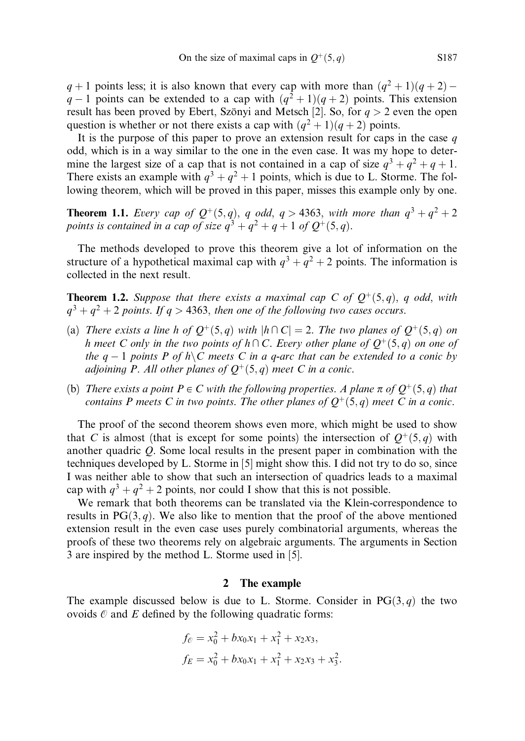$q + 1$  points less; it is also known that every cap with more than  $(q^2 + 1)(q + 2)$  $q-1$  points can be extended to a cap with  $(q^2+1)(q+2)$  points. This extension result has been proved by Ebert, Szönyi and Metsch [2]. So, for  $q > 2$  even the open question is whether or not there exists a cap with  $(q^2 + 1)(q + 2)$  points.

It is the purpose of this paper to prove an extension result for caps in the case  $q$ odd, which is in a way similar to the one in the even case. It was my hope to determine the largest size of a cap that is not contained in a cap of size  $q^3 + q^2 + q + 1$ . There exists an example with  $q^3 + q^2 + 1$  points, which is due to L. Storme. The following theorem, which will be proved in this paper, misses this example only by one.

**Theorem 1.1.** Every cap of  $Q^+(5,q)$ , q odd, q > 4363, with more than  $q^3 + q^2 + 2$ points is contained in a cap of size  $q^3 + q^2 + q + 1$  of  $Q^+(5, q)$ .

The methods developed to prove this theorem give a lot of information on the structure of a hypothetical maximal cap with  $q^3 + q^2 + 2$  points. The information is collected in the next result.

**Theorem 1.2.** Suppose that there exists a maximal cap C of  $Q^+(5,q)$ , q odd, with  $q^3 + q^2 + 2$  points. If  $q > 4363$ , then one of the following two cases occurs.

- (a) There exists a line h of  $Q^+(5, q)$  with  $|h \cap C| = 2$ . The two planes of  $Q^+(5, q)$  on h meet C only in the two points of  $h \cap C$ . Every other plane of  $Q^+(5, q)$  on one of the  $q-1$  points P of  $h\setminus C$  meets C in a q-arc that can be extended to a conic by adjoining P. All other planes of  $Q^+(5, q)$  meet C in a conic.
- (b) There exists a point  $P \in C$  with the following properties. A plane  $\pi$  of  $Q^+(5, q)$  that contains P meets C in two points. The other planes of  $Q^+(5, q)$  meet C in a conic.

The proof of the second theorem shows even more, which might be used to show that C is almost (that is except for some points) the intersection of  $Q^+(5, q)$  with another quadric Q. Some local results in the present paper in combination with the techniques developed by L. Storme in [5] might show this. I did not try to do so, since I was neither able to show that such an intersection of quadrics leads to a maximal cap with  $q^3 + q^2 + 2$  points, nor could I show that this is not possible.

We remark that both theorems can be translated via the Klein-correspondence to results in  $PG(3, q)$ . We also like to mention that the proof of the above mentioned extension result in the even case uses purely combinatorial arguments, whereas the proofs of these two theorems rely on algebraic arguments. The arguments in Section 3 are inspired by the method L. Storme used in [5].

# 2 The example

The example discussed below is due to L. Storme. Consider in  $PG(3, q)$  the two ovoids  $\mathcal O$  and  $E$  defined by the following quadratic forms:

$$
f_{\mathcal{C}} = x_0^2 + bx_0x_1 + x_1^2 + x_2x_3,
$$
  

$$
f_E = x_0^2 + bx_0x_1 + x_1^2 + x_2x_3 + x_3^2.
$$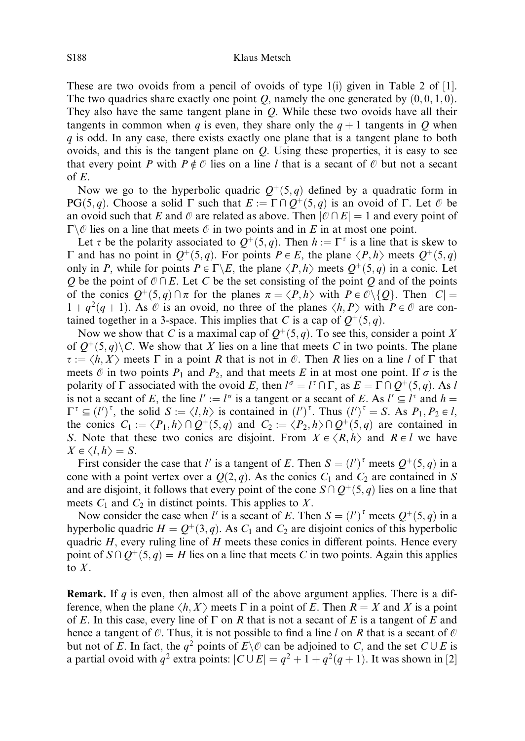These are two ovoids from a pencil of ovoids of type 1(i) given in Table 2 of [1]. The two quadrics share exactly one point O, namely the one generated by  $(0, 0, 1, 0)$ . They also have the same tangent plane in Q. While these two ovoids have all their tangents in common when q is even, they share only the  $q + 1$  tangents in O when  $q$  is odd. In any case, there exists exactly one plane that is a tangent plane to both ovoids, and this is the tangent plane on  $Q$ . Using these properties, it is easy to see that every point P with  $P \notin \mathcal{O}$  lies on a line l that is a secant of  $\mathcal{O}$  but not a secant of  $E$ .

Now we go to the hyperbolic quadric  $Q^+(5, q)$  defined by a quadratic form in PG $(5, q)$ . Choose a solid  $\Gamma$  such that  $E := \Gamma \cap Q^+(5, q)$  is an ovoid of  $\Gamma$ . Let  $\emptyset$  be an ovoid such that E and O are related as above. Then  $|\mathcal{O} \cap E| = 1$  and every point of  $\Gamma \backslash \mathcal{O}$  lies on a line that meets  $\mathcal O$  in two points and in E in at most one point.

Let  $\tau$  be the polarity associated to  $Q^+(5, q)$ . Then  $h := \Gamma^{\tau}$  is a line that is skew to  $\Gamma$  and has no point in  $O^+(5, q)$ . For points  $P \in E$ , the plane  $\langle P, h \rangle$  meets  $O^+(5, q)$ only in P, while for points  $P \in \Gamma \backslash E$ , the plane  $\langle P, h \rangle$  meets  $Q^+(5, q)$  in a conic. Let Q be the point of  $\mathcal{O} \cap E$ . Let C be the set consisting of the point Q and of the points of the conics  $Q^+(5,q) \cap \pi$  for the planes  $\pi = \langle P, h \rangle$  with  $P \in \mathbb{C} \setminus \{Q\}$ . Then  $|C| =$  $1 + q^2(q + 1)$ . As  $\emptyset$  is an ovoid, no three of the planes  $\langle h, P \rangle$  with  $P \in \mathcal{O}$  are contained together in a 3-space. This implies that C is a cap of  $Q^+(5, q)$ .

Now we show that C is a maximal cap of  $Q^+(5, q)$ . To see this, consider a point X of  $Q^+(5, q)\setminus C$ . We show that X lies on a line that meets C in two points. The plane  $\tau := \langle h, X \rangle$  meets  $\Gamma$  in a point R that is not in  $\mathcal{O}$ . Then R lies on a line l of  $\Gamma$  that meets  $\emptyset$  in two points  $P_1$  and  $P_2$ , and that meets E in at most one point. If  $\sigma$  is the polarity of  $\Gamma$  associated with the ovoid E, then  $l^{\sigma} = l^{\tau} \cap \Gamma$ , as  $E = \Gamma \cap Q^{+}(5, q)$ . As l is not a secant of E, the line  $l' := l^{\sigma}$  is a tangent or a secant of E. As  $l' \subseteq l^{\tau}$  and  $h =$  $\Gamma^{\tau} \subseteq (l')^{\tau}$ , the solid  $S := \langle l, h \rangle$  is contained in  $(l')^{\tau}$ . Thus  $(l')^{\tau} = S$ . As  $P_1, P_2 \in l$ , the conics  $C_1 := \langle P_1, h \rangle \cap Q^+(5, q)$  and  $C_2 := \langle P_2, h \rangle \cap Q^+(5, q)$  are contained in S. Note that these two conics are disjoint. From  $X \in \langle R, h \rangle$  and  $R \in \mathcal{V}$  we have  $X \in \langle l, h \rangle = S$ .

First consider the case that l' is a tangent of E. Then  $S = (l')^{\tau}$  meets  $Q^+(5, q)$  in a cone with a point vertex over a  $Q(2, q)$ . As the conics  $C_1$  and  $C_2$  are contained in S and are disjoint, it follows that every point of the cone  $S \cap Q^+(5, q)$  lies on a line that meets  $C_1$  and  $C_2$  in distinct points. This applies to X.

Now consider the case when l' is a secant of E. Then  $S = (l')^{\tau}$  meets  $Q^+(5, q)$  in a hyperbolic quadric  $H = Q^+(3, q)$ . As  $C_1$  and  $C_2$  are disjoint conics of this hyperbolic quadric  $H$ , every ruling line of  $H$  meets these conics in different points. Hence every point of  $S \cap Q^+(5, q) = H$  lies on a line that meets C in two points. Again this applies to  $X$ .

**Remark.** If  $q$  is even, then almost all of the above argument applies. There is a difference, when the plane  $\langle h, X \rangle$  meets  $\Gamma$  in a point of E. Then  $R = X$  and X is a point of E. In this case, every line of  $\Gamma$  on R that is not a secant of E is a tangent of E and hence a tangent of  $\mathcal O$ . Thus, it is not possible to find a line l on R that is a secant of  $\mathcal O$ but not of E. In fact, the  $q^2$  points of  $E \setminus \mathcal{O}$  can be adjoined to C, and the set  $C \cup E$  is a partial ovoid with  $q^2$  extra points:  $|C \cup E| = q^2 + 1 + q^2(q+1)$ . It was shown in [2]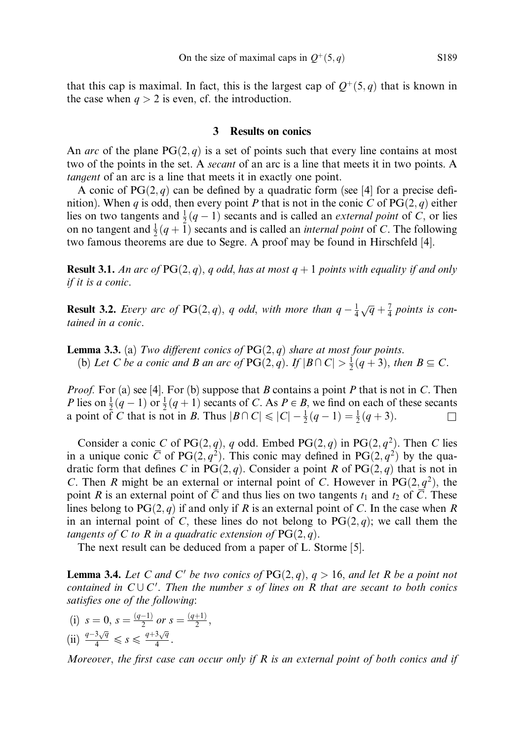that this cap is maximal. In fact, this is the largest cap of  $Q^+(5, q)$  that is known in the case when  $q > 2$  is even, cf. the introduction.

# 3 Results on conics

An arc of the plane  $PG(2, q)$  is a set of points such that every line contains at most two of the points in the set. A *secant* of an arc is a line that meets it in two points. A tangent of an arc is a line that meets it in exactly one point.

A conic of  $PG(2, q)$  can be defined by a quadratic form (see [4] for a precise definition). When q is odd, then every point P that is not in the conic C of  $PG(2, q)$  either lies on two tangents and  $\frac{1}{2}(q-1)$  secants and is called an *external point* of C, or lies on no tangent and  $\frac{1}{2}(q + \tilde{1})$  secants and is called an *internal point* of C. The following two famous theorems are due to Segre. A proof may be found in Hirschfeld [4].

**Result 3.1.** An arc of  $PG(2,q)$ , q odd, has at most  $q + 1$  points with equality if and only if it is a conic.

**Result 3.2.** Every arc of PG(2, q), q odd, with more than  $q - \frac{1}{4}\sqrt{q} + \frac{7}{4}$  points is contained in a conic.

**Lemma 3.3.** (a) Two different conics of  $PG(2,q)$  share at most four points. (b) Let C be a conic and B an arc of  $PG(2, q)$ . If  $|B \cap C| > \frac{1}{2}(q + 3)$ , then  $B \subseteq C$ .

*Proof.* For (a) see [4]. For (b) suppose that B contains a point P that is not in C. Then P lies on  $\frac{1}{2}(q-1)$  or  $\frac{1}{2}(q+1)$  secants of C. As  $P \in B$ , we find on each of these secants a point of C that is not in B. Thus  $|B \cap C| \leq |C| - \frac{1}{2}(q-1) = \frac{1}{2}(q+3)$ .

Consider a conic C of PG $(2, q)$ , q odd. Embed PG $(2, q)$  in PG $(2, q^2)$ . Then C lies in a unique conic  $\overline{C}$  of PG $(2, q^2)$ . This conic may defined in PG $(2, q^2)$  by the quadratic form that defines C in PG $(2, q)$ . Consider a point R of PG $(2, q)$  that is not in C. Then R might be an external or internal point of C. However in  $PG(2, q^2)$ , the point R is an external point of  $\overline{C}$  and thus lies on two tangents  $t_1$  and  $t_2$  of  $\overline{C}$ . These lines belong to  $PG(2, q)$  if and only if R is an external point of C. In the case when R in an internal point of C, these lines do not belong to  $PG(2,q)$ ; we call them the tangents of C to R in a quadratic extension of  $PG(2, q)$ .

The next result can be deduced from a paper of L. Storme [5].

**Lemma 3.4.** Let C and C' be two conics of  $PG(2,q)$ ,  $q > 16$ , and let R be a point not contained in  $C \cup C'$ . Then the number s of lines on R that are secant to both conics satisfies one of the following:

(i) 
$$
s = 0
$$
,  $s = \frac{(q-1)}{2}$  or  $s = \frac{(q+1)}{2}$ ,  
\n(ii)  $\frac{q-3\sqrt{q}}{4} \le s \le \frac{q+3\sqrt{q}}{4}$ .

Moreover, the first case can occur only if  $R$  is an external point of both conics and if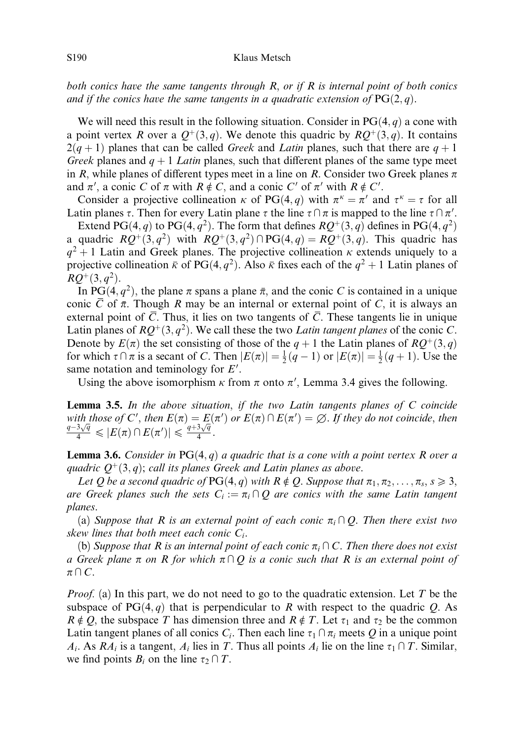both conics have the same tangents through  $R$ , or if  $R$  is internal point of both conics and if the conics have the same tangents in a quadratic extension of  $PG(2,q)$ .

We will need this result in the following situation. Consider in  $PG(4, q)$  a cone with a point vertex R over a  $Q^+(3, q)$ . We denote this quadric by  $RO^+(3, q)$ . It contains  $2(q + 1)$  planes that can be called *Greek* and *Latin* planes, such that there are  $q + 1$ Greek planes and  $q + 1$  Latin planes, such that different planes of the same type meet in R, while planes of different types meet in a line on R. Consider two Greek planes  $\pi$ and  $\pi'$ , a conic C of  $\pi$  with  $R \notin C$ , and a conic C' of  $\pi'$  with  $R \notin C'$ .

Consider a projective collineation  $\kappa$  of PG(4, q) with  $\pi^k = \pi'$  and  $\tau^k = \tau$  for all Latin planes  $\tau$ . Then for every Latin plane  $\tau$  the line  $\tau \cap \pi$  is mapped to the line  $\tau \cap \pi'$ .

Extend PG $(4, q)$  to PG $(4, q^2)$ . The form that defines  $RQ^+(3, q)$  defines in PG $(4, q^2)$ a quadric  $RQ^+(3, q^2)$  with  $RQ^+(3, q^2) \cap PG(4, q) = RQ^+(3, q)$ . This quadric has  $q^2 + 1$  Latin and Greek planes. The projective collineation  $\kappa$  extends uniquely to a projective collineation  $\bar{\kappa}$  of PG(4,  $q^2$ ). Also  $\bar{\kappa}$  fixes each of the  $q^2 + 1$  Latin planes of  $RO+(3, q^2)$ .

In PG(4,  $q^2$ ), the plane  $\pi$  spans a plane  $\bar{\pi}$ , and the conic C is contained in a unique conic  $\overline{C}$  of  $\overline{\pi}$ . Though R may be an internal or external point of C, it is always an external point of  $\overline{C}$ . Thus, it lies on two tangents of  $\overline{C}$ . These tangents lie in unique Latin planes of  $RQ^+(3, q^2)$ . We call these the two Latin tangent planes of the conic C. Denote by  $E(\pi)$  the set consisting of those of the  $q + 1$  the Latin planes of  $RQ^+(3, q)$ for which  $\tau \cap \pi$  is a secant of C. Then  $|E(\pi)| = \frac{1}{2}(q-1)$  or  $|E(\pi)| = \frac{1}{2}(q+1)$ . Use the same notation and teminology for  $E'$ .

Using the above isomorphism  $\kappa$  from  $\pi$  onto  $\pi'$ , Lemma 3.4 gives the following.

**Lemma 3.5.** In the above situation, if the two Latin tangents planes of  $C$  coincide with those of C', then  $E(\pi) = E(\pi')$  or  $E(\pi) \cap E(\pi') = \emptyset$ . If they do not coincide, then with those by C, then  $E(h) - E(\frac{q-3\sqrt{q}}{4}) \leq \frac{q+3\sqrt{q}}{4}$ .

**Lemma 3.6.** Consider in PG $(4, q)$  a quadric that is a cone with a point vertex R over a quadric  $Q^+(3, q)$ ; call its planes Greek and Latin planes as above.

Let Q be a second quadric of PG $(4, q)$  with  $R \notin Q$ . Suppose that  $\pi_1, \pi_2, \ldots, \pi_s, s \geq 3$ , are Greek planes such the sets  $C_i := \pi_i \cap Q$  are conics with the same Latin tangent planes.

(a) Suppose that R is an external point of each conic  $\pi_i \cap Q$ . Then there exist two skew lines that both meet each conic  $C_i$ .

(b) Suppose that R is an internal point of each conic  $\pi_i \cap C$ . Then there does not exist a Greek plane  $\pi$  on R for which  $\pi \cap Q$  is a conic such that R is an external point of  $\pi \cap C$ .

*Proof.* (a) In this part, we do not need to go to the quadratic extension. Let T be the subspace of PG $(4, q)$  that is perpendicular to R with respect to the quadric Q. As  $R \notin Q$ , the subspace T has dimension three and  $R \notin T$ . Let  $\tau_1$  and  $\tau_2$  be the common Latin tangent planes of all conics  $C_i$ . Then each line  $\tau_1 \cap \pi_i$  meets Q in a unique point  $A_i$ . As  $RA_i$  is a tangent,  $A_i$  lies in T. Thus all points  $A_i$  lie on the line  $\tau_1 \cap T$ . Similar, we find points  $B_i$  on the line  $\tau_2 \cap T$ .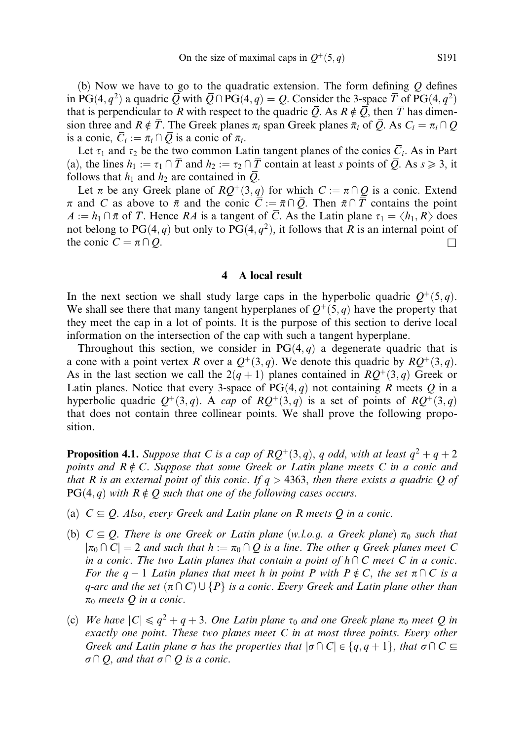(b) Now we have to go to the quadratic extension. The form defining  $Q$  defines in PG $(4, q^2)$  a quadric  $\overline{Q}$  with  $\overline{Q} \cap PG(4, q) = Q$ . Consider the 3-space  $\overline{T}$  of PG $(4, q^2)$ that is perpendicular to R with respect to the quadric  $\overline{Q}$ . As  $R \notin \overline{Q}$ , then  $\overline{T}$  has dimension three and  $R \notin \overline{T}$ . The Greek planes  $\pi_i$  span Greek planes  $\overline{\pi}_i$  of  $\overline{Q}$ . As  $C_i = \pi_i \cap Q$ is a conic,  $\overline{C}_i := \overline{\pi}_i \cap \overline{Q}$  is a conic of  $\overline{\pi}_i$ .

Let  $\tau_1$  and  $\tau_2$  be the two common Latin tangent planes of the conics  $\overline{C_i}$ . As in Part (a), the lines  $h_1 := \tau_1 \cap \overline{T}$  and  $h_2 := \tau_2 \cap \overline{T}$  contain at least s points of  $\overline{Q}$ . As  $s \ge 3$ , it follows that  $h_1$  and  $h_2$  are contained in  $\overline{Q}$ .

Let  $\pi$  be any Greek plane of  $RQ^+(3, q)$  for which  $C := \pi \cap Q$  is a conic. Extend  $\pi$  and C as above to  $\bar{\pi}$  and the conic  $\bar{C} := \bar{\pi} \cap \bar{Q}$ . Then  $\bar{\pi} \cap \bar{T}$  contains the point  $A := h_1 \cap \overline{\pi}$  of  $\overline{T}$ . Hence RA is a tangent of  $\overline{C}$ . As the Latin plane  $\tau_1 = \langle h_1, R \rangle$  does not belong to PG $(4, q)$  but only to PG $(4, q^2)$ , it follows that R is an internal point of the conic  $C = \pi \cap Q$ .

# 4 A local result

In the next section we shall study large caps in the hyperbolic quadric  $Q^+(5, q)$ . We shall see there that many tangent hyperplanes of  $Q^+(5, q)$  have the property that they meet the cap in a lot of points. It is the purpose of this section to derive local information on the intersection of the cap with such a tangent hyperplane.

Throughout this section, we consider in  $PG(4, q)$  a degenerate quadric that is a cone with a point vertex R over a  $Q^+(3,q)$ . We denote this quadric by  $RQ^+(3,q)$ . As in the last section we call the  $2(q + 1)$  planes contained in  $RQ^+(3, q)$  Greek or Latin planes. Notice that every 3-space of  $PG(4, q)$  not containing R meets Q in a hyperbolic quadric  $Q^+(3,q)$ . A cap of  $RQ^+(3,q)$  is a set of points of  $RQ^+(3,q)$ that does not contain three collinear points. We shall prove the following proposition.

**Proposition 4.1.** Suppose that C is a cap of  $RQ^+(3, q)$ , q odd, with at least  $q^2 + q + 2$ points and  $R \notin C$ . Suppose that some Greek or Latin plane meets C in a conic and that R is an external point of this conic. If  $q > 4363$ , then there exists a quadric Q of  $PG(4, q)$  with  $R \notin Q$  such that one of the following cases occurs.

- (a)  $C \subseteq Q$ . Also, every Greek and Latin plane on R meets Q in a conic.
- (b)  $C \subseteq Q$ . There is one Greek or Latin plane (w.l.o.g. a Greek plane)  $\pi_0$  such that  $|\pi_0 \cap C| = 2$  and such that  $h := \pi_0 \cap Q$  is a line. The other q Greek planes meet C in a conic. The two Latin planes that contain a point of  $h\cap C$  meet C in a conic. For the  $q-1$  Latin planes that meet h in point P with  $P \notin C$ , the set  $\pi \cap C$  is a q-arc and the set  $(\pi \cap C) \cup \{P\}$  is a conic. Every Greek and Latin plane other than  $\pi_0$  meets Q in a conic.
- (c) We have  $|C| \leq q^2 + q + 3$ . One Latin plane  $\tau_0$  and one Greek plane  $\pi_0$  meet Q in exactly one point. These two planes meet  $C$  in at most three points. Every other Greek and Latin plane  $\sigma$  has the properties that  $|\sigma\cap C| \in \{q, q + 1\}$ , that  $\sigma\cap C \subseteq$  $\sigma \cap Q$ , and that  $\sigma \cap Q$  is a conic.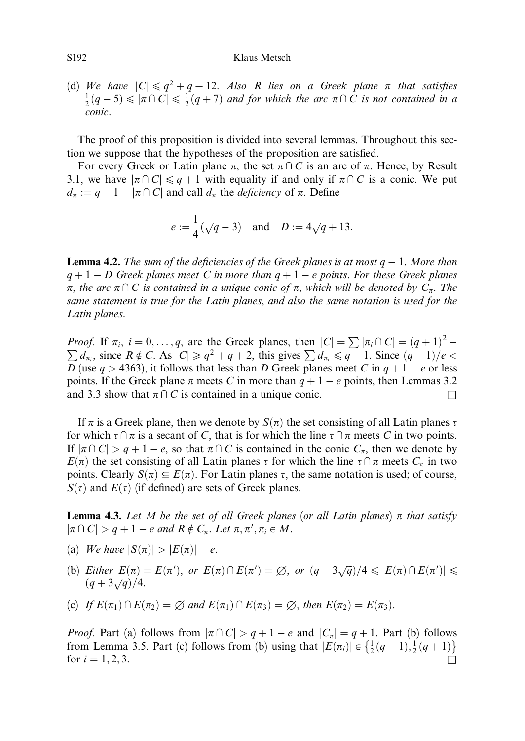## S192 Klaus Metsch

(d) We have  $|C| \leq q^2 + q + 12$ . Also R lies on a Greek plane  $\pi$  that satisfies  $\frac{1}{2}(q-5) \leqslant |\pi \cap C| \leqslant \frac{1}{2}(q+7)$  and for which the arc  $\pi \cap C$  is not contained in a conic.

The proof of this proposition is divided into several lemmas. Throughout this section we suppose that the hypotheses of the proposition are satisfied.

For every Greek or Latin plane  $\pi$ , the set  $\pi \cap C$  is an arc of  $\pi$ . Hence, by Result 3.1, we have  $|\pi \cap C| \leq q + 1$  with equality if and only if  $\pi \cap C$  is a conic. We put  $d_{\pi} := q + 1 - |\pi \cap C|$  and call  $d_{\pi}$  the *deficiency* of  $\pi$ . Define

$$
e := \frac{1}{4}(\sqrt{q} - 3)
$$
 and  $D := 4\sqrt{q} + 13$ .

**Lemma 4.2.** The sum of the deficiencies of the Greek planes is at most  $q - 1$ . More than  $q + 1 - D$  Greek planes meet C in more than  $q + 1 - e$  points. For these Greek planes  $\pi$ , the arc  $\pi \cap C$  is contained in a unique conic of  $\pi$ , which will be denoted by  $C_{\pi}$ . The same statement is true for the Latin planes, and also the same notation is used for the Latin planes.

*Proof.* If  $\pi_i$ ,  $i = 0, \ldots, q$ , are the Greek planes, then  $|C| = \sum |\pi_i \cap C| = (q+1)^2 - \sum d_i$  since  $R \notin C$ . As  $|C| > a^2 + q + 2$ , this gives  $\sum d_i \leq a_i - 1$ . Since  $(a_i - 1)/a \leq a_i$  $d_{\pi_i}$ , since  $R \notin C$ . As  $|C| \ge q^2 + q + 2$ , this gives  $\sum d_{\pi_i} \le q - 1$ . Since  $(q - 1)/e <$ D (use  $q > 4363$ ), it follows that less than D Greek planes meet C in  $q + 1 - e$  or less points. If the Greek plane  $\pi$  meets C in more than  $q + 1 - e$  points, then Lemmas 3.2 and 3.3 show that  $\pi \cap C$  is contained in a unique conic.

If  $\pi$  is a Greek plane, then we denote by  $S(\pi)$  the set consisting of all Latin planes  $\tau$ for which  $\tau \cap \pi$  is a secant of C, that is for which the line  $\tau \cap \pi$  meets C in two points. If  $|\pi \cap C| > q + 1 - e$ , so that  $\pi \cap C$  is contained in the conic  $C_{\pi}$ , then we denote by  $E(\pi)$  the set consisting of all Latin planes  $\tau$  for which the line  $\tau \cap \pi$  meets  $C_{\pi}$  in two points. Clearly  $S(\pi) \subseteq E(\pi)$ . For Latin planes  $\tau$ , the same notation is used; of course,  $S(\tau)$  and  $E(\tau)$  (if defined) are sets of Greek planes.

**Lemma 4.3.** Let M be the set of all Greek planes (or all Latin planes)  $\pi$  that satisfy  $|\pi \cap C| > q + 1 - e$  and  $R \notin C_{\pi}$ . Let  $\pi, \pi', \pi_i \in M$ .

- (a) We have  $|S(\pi)| > |E(\pi)| e$ .
- (b) Either  $E(\pi) = E(\pi')$ , or  $E(\pi) \cap E(\pi') = \emptyset$ , or  $(q 3\sqrt{q})/4 \leq |E(\pi) \cap E(\pi')| \leq$  $\frac{d\mathcal{L}(\mu)}{(q+3\sqrt{q})/4}.$
- (c) If  $E(\pi_1) \cap E(\pi_2) = \emptyset$  and  $E(\pi_1) \cap E(\pi_3) = \emptyset$ , then  $E(\pi_2) = E(\pi_3)$ .

*Proof.* Part (a) follows from  $|\pi \cap C| > q + 1 - e$  and  $|C_{\pi}| = q + 1$ . Part (b) follows From Lemma 3.5. Part (c) follows from (b) using that  $|E(\pi_i)| \in \left\{\frac{1}{2}(q-1), \frac{1}{2}(q+1)\right\}$ for  $i = 1, 2, 3$ .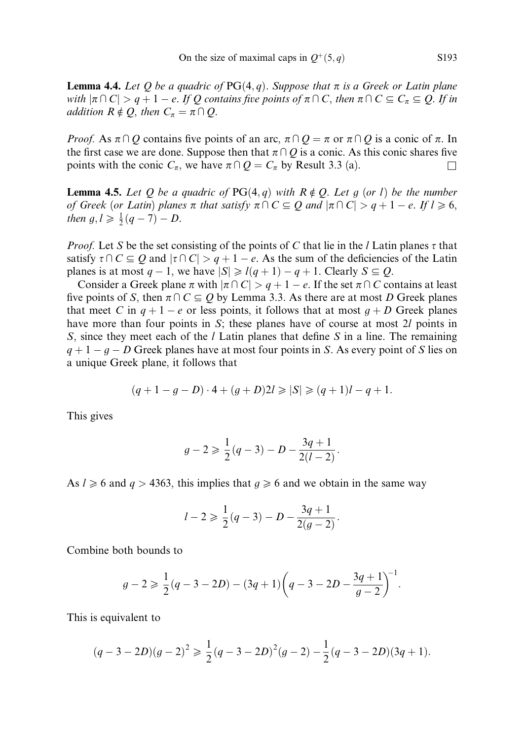**Lemma 4.4.** Let Q be a quadric of  $PG(4, q)$ . Suppose that  $\pi$  is a Greek or Latin plane with  $|\pi \cap C| > q + 1 - e$ . If O contains five points of  $\pi \cap C$ , then  $\pi \cap C \subseteq C_{\pi} \subseteq O$ . If in addition  $R \notin Q$ , then  $C_{\pi} = \pi \cap Q$ .

*Proof.* As  $\pi \cap Q$  contains five points of an arc,  $\pi \cap Q = \pi$  or  $\pi \cap Q$  is a conic of  $\pi$ . In the first case we are done. Suppose then that  $\pi \cap Q$  is a conic. As this conic shares five points with the conic  $C_{\pi}$ , we have  $\pi \cap Q = C_{\pi}$  by Result 3.3 (a).

**Lemma 4.5.** Let Q be a quadric of PG $(4, q)$  with  $R \notin Q$ . Let g (or l) be the number of Greek (or Latin) planes  $\pi$  that satisfy  $\pi \cap C \subseteq Q$  and  $|\pi \cap C| > q + 1 - e$ . If  $l \ge 6$ , then  $g, l \geq \frac{1}{2}(q - 7) - D$ .

*Proof.* Let S be the set consisting of the points of C that lie in the *l* Latin planes  $\tau$  that satisfy  $\tau \cap C \subseteq Q$  and  $|\tau \cap C| > q + 1 - e$ . As the sum of the deficiencies of the Latin planes is at most  $q - 1$ , we have  $|S| \ge l(q + 1) - q + 1$ . Clearly  $S \subseteq Q$ .

Consider a Greek plane  $\pi$  with  $|\pi \cap C| > q + 1 - e$ . If the set  $\pi \cap C$  contains at least five points of S, then  $\pi \cap C \subseteq Q$  by Lemma 3.3. As there are at most D Greek planes that meet C in  $q + 1 - e$  or less points, it follows that at most  $q + D$  Greek planes have more than four points in S; these planes have of course at most 2l points in S, since they meet each of the  $l$  Latin planes that define S in a line. The remaining  $q + 1 - q - D$  Greek planes have at most four points in S. As every point of S lies on a unique Greek plane, it follows that

$$
(q+1-g-D)\cdot 4 + (g+D)2l \geq |S| \geq (q+1)l - q + 1.
$$

This gives

$$
g-2 \geqslant \frac{1}{2}(q-3) - D - \frac{3q+1}{2(l-2)}.
$$

As  $l \ge 6$  and  $q > 4363$ , this implies that  $q \ge 6$  and we obtain in the same way

$$
l-2 \geqslant \frac{1}{2}(q-3) - D - \frac{3q+1}{2(g-2)}.
$$

Combine both bounds to

$$
g-2 \geq \frac{1}{2}(q-3-2D)-(3q+1)\left(q-3-2D-\frac{3q+1}{g-2}\right)^{-1}.
$$

This is equivalent to

$$
(q-3-2D)(g-2)^2 \geq \frac{1}{2}(q-3-2D)^2(g-2) - \frac{1}{2}(q-3-2D)(3q+1).
$$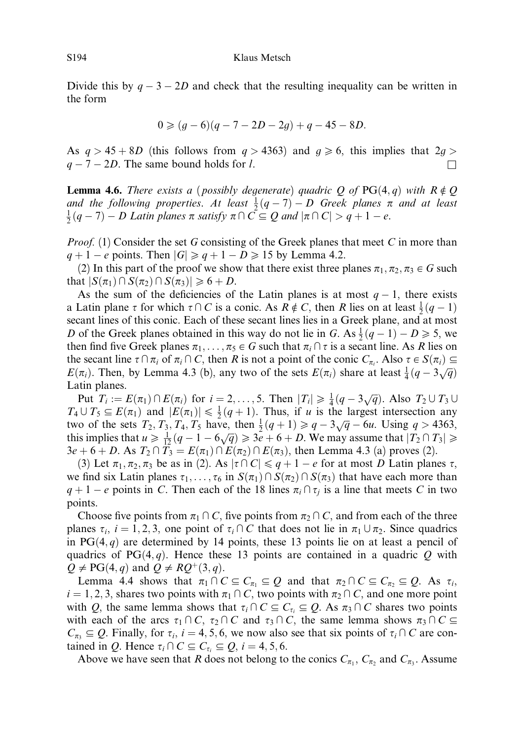Divide this by  $q - 3 - 2D$  and check that the resulting inequality can be written in the form

$$
0 \geq (g-6)(q-7-2D-2g) + q - 45 - 8D.
$$

As  $q > 45 + 8D$  (this follows from  $q > 4363$ ) and  $q \ge 6$ , this implies that  $2q >$  $q - 7 - 2D$ . The same bound holds for l.

**Lemma 4.6.** There exists a (possibly degenerate) quadric Q of PG $(4, q)$  with  $R \notin Q$ and the following properties. At least  $\frac{1}{2}(q-7) - D$  Greek planes  $\pi$  and at least  $\frac{1}{2}(q-7) - D$  Latin planes  $\pi$  satisfy  $\pi \cap C \subseteq Q$  and  $|\pi \cap C| > q+1-e$ .

*Proof.* (1) Consider the set G consisting of the Greek planes that meet C in more than  $q + 1 - e$  points. Then  $|G| \geqslant q + 1 - D \geqslant 15$  by Lemma 4.2.

(2) In this part of the proof we show that there exist three planes  $\pi_1, \pi_2, \pi_3 \in G$  such that  $|S(\pi_1) \cap S(\pi_2) \cap S(\pi_3)| \geq 6 + D$ .

As the sum of the deficiencies of the Latin planes is at most  $q-1$ , there exists a Latin plane  $\tau$  for which  $\tau \cap C$  is a conic. As  $R \notin C$ , then R lies on at least  $\frac{1}{2}(q-1)$ secant lines of this conic. Each of these secant lines lies in a Greek plane, and at most D of the Greek planes obtained in this way do not lie in G. As  $\frac{1}{2}(q-1) - D \ge 5$ , we then find five Greek planes  $\pi_1, \ldots, \pi_5 \in G$  such that  $\pi_i \cap \tau$  is a secant line. As R lies on the secant line  $\tau \cap \pi_i$  of  $\pi_i \cap C$ , then R is not a point of the conic  $C_{\pi_i}$ . Also  $\tau \in S(\pi_i) \subseteq$  $E(\pi_i)$ . Then, by Lemma 4.3 (b), any two of the sets  $E(\pi_i)$  share at least  $\frac{1}{4}(q-3\sqrt{q})$ Latin planes.

Put  $T_i := E(\pi_1) \cap E(\pi_i)$  for  $i = 2, ..., 5$ . Then  $|T_i| \geq \frac{1}{4}(q - 3\sqrt{q})$ . Also  $T_2 \cup T_3 \cup T_4$  $T_4 \cup T_5 \subseteq E(\pi_1)$  and  $|E(\pi_1)| \leq \frac{1}{2}(q+1)$ . Thus, if u is the largest intersection any two of the sets  $T_2$ ,  $T_3$ ,  $T_4$ ,  $T_5$  have, then  $\frac{1}{2}(q+1) \ge q - 3\sqrt{q} - 6u$ . Using  $q > 4363$ , this implies that  $u \ge \frac{1}{12}(q-1-6\sqrt{q}) \ge 3e+6+D$ . We may assume that  $|T_2 \cap T_3| \ge$  $3e + 6 + D$ . As  $T_2 \cap T_3 = E(\pi_1) \cap E(\pi_2) \cap E(\pi_3)$ , then Lemma 4.3 (a) proves (2).

(3) Let  $\pi_1, \pi_2, \pi_3$  be as in (2). As  $|\tau \cap C| \le q + 1 - e$  for at most D Latin planes  $\tau$ , we find six Latin planes  $\tau_1, \ldots, \tau_6$  in  $S(\pi_1) \cap S(\pi_2) \cap S(\pi_3)$  that have each more than  $q + 1 - e$  points in C. Then each of the 18 lines  $\pi_i \cap \tau_i$  is a line that meets C in two points.

Choose five points from  $\pi_1 \cap C$ , five points from  $\pi_2 \cap C$ , and from each of the three planes  $\tau_i$ ,  $i = 1, 2, 3$ , one point of  $\tau_i \cap C$  that does not lie in  $\pi_1 \cup \pi_2$ . Since quadrics in PG $(4, q)$  are determined by 14 points, these 13 points lie on at least a pencil of quadrics of PG $(4, q)$ . Hence these 13 points are contained in a quadric Q with  $Q \neq PG(4, q)$  and  $Q \neq RQ^+(3, q)$ .

Lemma 4.4 shows that  $\pi_1 \cap C \subseteq C_{\pi_1} \subseteq Q$  and that  $\pi_2 \cap C \subseteq C_{\pi_2} \subseteq Q$ . As  $\tau_i$ ,  $i = 1, 2, 3$ , shares two points with  $\pi_1 \cap C$ , two points with  $\pi_2 \cap C$ , and one more point with Q, the same lemma shows that  $\tau_i \cap C \subseteq C_{\tau_i} \subseteq Q$ . As  $\pi_3 \cap C$  shares two points with each of the arcs  $\tau_1 \cap C$ ,  $\tau_2 \cap C$  and  $\tau_3 \cap C$ , the same lemma shows  $\pi_3 \cap C \subseteq$  $C_{\pi_3} \subseteq Q$ . Finally, for  $\tau_i$ ,  $i = 4, 5, 6$ , we now also see that six points of  $\tau_i \cap C$  are contained in Q. Hence  $\tau_i \cap C \subseteq C_{\tau_i} \subseteq Q$ ,  $i = 4, 5, 6$ .

Above we have seen that R does not belong to the conics  $C_{\pi_1}$ ,  $C_{\pi_2}$  and  $C_{\pi_3}$ . Assume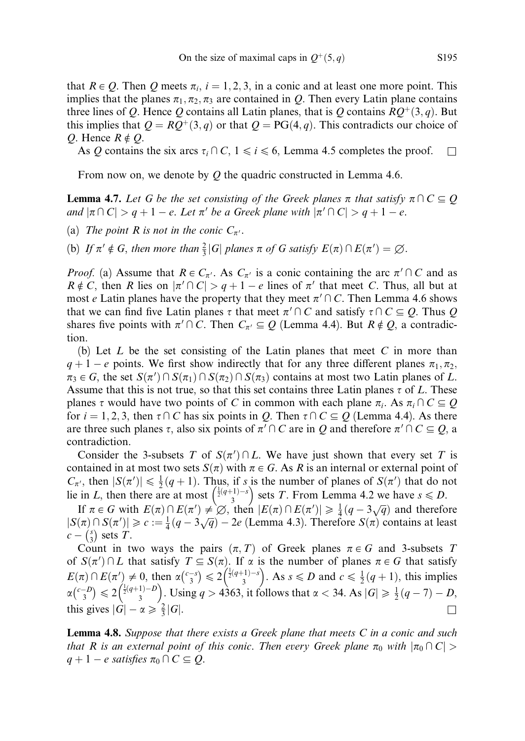that  $R \in Q$ . Then Q meets  $\pi_i$ ,  $i = 1, 2, 3$ , in a conic and at least one more point. This implies that the planes  $\pi_1, \pi_2, \pi_3$  are contained in Q. Then every Latin plane contains three lines of Q. Hence Q contains all Latin planes, that is Q contains  $RQ^+(3, q)$ . But this implies that  $Q = RO^+(3, q)$  or that  $Q = PG(4, q)$ . This contradicts our choice of Q. Hence  $R \notin Q$ .

As Q contains the six arcs  $\tau_i \cap C$ ,  $1 \le i \le 6$ , Lemma 4.5 completes the proof.  $\Box$ 

From now on, we denote by  $O$  the quadric constructed in Lemma 4.6.

**Lemma 4.7.** Let G be the set consisting of the Greek planes  $\pi$  that satisfy  $\pi \cap C \subseteq Q$ and  $|\pi \cap C| > q + 1 - e$ . Let  $\pi'$  be a Greek plane with  $|\pi' \cap C| > q + 1 - e$ .

- (a) The point R is not in the conic  $C_{\pi'}$ .
- (b) If  $\pi' \notin G$ , then more than  $\frac{2}{3}|G|$  planes  $\pi$  of G satisfy  $E(\pi) \cap E(\pi') = \emptyset$ .

*Proof.* (a) Assume that  $R \in C_{\pi'}$ . As  $C_{\pi'}$  is a conic containing the arc  $\pi' \cap C$  and as  $R \notin C$ , then R lies on  $|\pi' \cap C| > q + 1 - e$  lines of  $\pi'$  that meet C. Thus, all but at most e Latin planes have the property that they meet  $\pi' \cap C$ . Then Lemma 4.6 shows that we can find five Latin planes  $\tau$  that meet  $\pi' \cap C$  and satisfy  $\tau \cap C \subseteq Q$ . Thus Q shares five points with  $\pi' \cap C$ . Then  $C_{\pi'} \subseteq Q$  (Lemma 4.4). But  $R \notin Q$ , a contradiction.

(b) Let  $L$  be the set consisting of the Latin planes that meet  $C$  in more than  $q + 1 - e$  points. We first show indirectly that for any three different planes  $\pi_1, \pi_2$ ,  $\pi_3 \in G$ , the set  $S(\pi') \cap S(\pi_1) \cap S(\pi_2) \cap S(\pi_3)$  contains at most two Latin planes of L. Assume that this is not true, so that this set contains three Latin planes  $\tau$  of L. These planes  $\tau$  would have two points of C in common with each plane  $\pi_i$ . As  $\pi_i \cap C \subseteq Q$ for  $i = 1, 2, 3$ , then  $\tau \cap C$  has six points in Q. Then  $\tau \cap C \subseteq Q$  (Lemma 4.4). As there are three such planes  $\tau$ , also six points of  $\pi' \cap C$  are in Q and therefore  $\pi' \cap C \subseteq Q$ , a contradiction.

Consider the 3-subsets T of  $S(\pi') \cap L$ . We have just shown that every set T is contained in at most two sets  $S(\pi)$  with  $\pi \in G$ . As R is an internal or external point of  $C_{\pi'}$ , then  $|S(\pi')| \leq \frac{1}{2}(q+1)$ . Thus, if s is the number of planes of  $S(\pi')$  that do not lie in L, then there are at most  $\frac{1}{2}(q+1)-s$ hus, if s is the number of planes of  $S(\pi)$  that do n<br> $\left(\frac{\frac{1}{2}(q+1)-s}{3}\right)$  sets T. From Lemma 4.2 we have  $s \le D$ .

If  $\pi \in G$  with  $E(\pi) \cap E(\pi') \neq \emptyset$ , then  $|E(\pi) \cap E(\pi')| \geq \frac{1}{4}(q-3\sqrt{q})$  and therefore  $|S(\pi) \cap S(\pi')| \geq c := \frac{1}{4}(q - 3\sqrt{q}) - 2e$  (Lemma 4.3). Therefore  $S(\pi)$  contains at least  $c - {s \choose 3}$  sets T.

Count in two ways the pairs  $(\pi, T)$  of Greek planes  $\pi \in G$  and 3-subsets T of  $S(\pi') \cap L$  that satisfy  $T \subseteq S(\pi)$ . If  $\alpha$  is the number of planes  $\pi \in G$  that satisfy  $E(\pi) \cap E(\pi') \neq 0$ , then  $\alpha {\binom{c-s}{3}} \leq 2 {\binom{\frac{1}{2}(q+1)-s}{3}}$  $\left(\frac{\frac{1}{2}(q+1)-s}{3}\right)$ . As  $s \le D$  and  $c \le \frac{1}{2}(q+1)$ , this implies  $\alpha {\binom{c-D}{3}} \leqslant 2 {\binom{{\frac{1}{2}}(q+1)-D}{3}}$  $\left(\frac{\frac{1}{2}(q+1)-D}{3}\right)$ . Using  $q > 4363$ , it follows that  $\alpha < 34$ . As  $|G| \ge \frac{1}{2}(q-7) - D$ , this gives  $|\hat{G}| - \alpha \geq \frac{2}{3} |G|$ .  $\frac{2}{3}|G|$ .

**Lemma 4.8.** Suppose that there exists a Greek plane that meets  $C$  in a conic and such that R is an external point of this conic. Then every Greek plane  $\pi_0$  with  $|\pi_0 \cap C|$  >  $q + 1 - e$  satisfies  $\pi_0 \cap C \subseteq Q$ .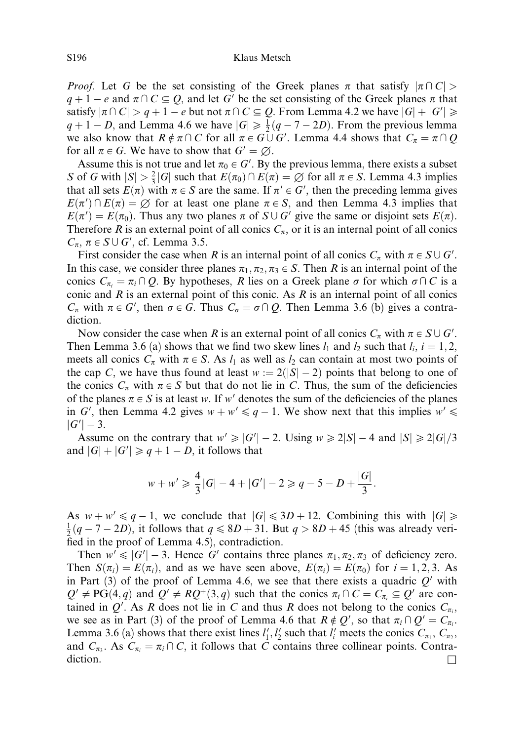*Proof.* Let G be the set consisting of the Greek planes  $\pi$  that satisfy  $|\pi \cap C|$  $q + 1 - e$  and  $\pi \cap C \subseteq O$ , and let G' be the set consisting of the Greek planes  $\pi$  that satisfy  $|\pi \cap C| > q + 1 - e$  but not  $\pi \cap C \subseteq Q$ . From Lemma 4.2 we have  $|G| + |G'| \geq 0$  $q + 1 - D$ , and Lemma 4.6 we have  $|G| \ge \frac{1}{2}(q - 7 - 2D)$ . From the previous lemma we also know that  $R \notin \pi \cap C$  for all  $\pi \in G \cup G'$ . Lemma 4.4 shows that  $C_{\pi} = \pi \cap Q$ for all  $\pi \in G$ . We have to show that  $G' = \emptyset$ .

Assume this is not true and let  $\pi_0 \in G'$ . By the previous lemma, there exists a subset S of G with  $|S| > \frac{2}{3}|G|$  such that  $E(\pi_0) \cap E(\pi) = \emptyset$  for all  $\pi \in S$ . Lemma 4.3 implies that all sets  $E(\pi)$  with  $\pi \in S$  are the same. If  $\pi' \in G'$ , then the preceding lemma gives  $E(\pi') \cap E(\pi) = \emptyset$  for at least one plane  $\pi \in S$ , and then Lemma 4.3 implies that  $E(\pi') = E(\pi_0)$ . Thus any two planes  $\pi$  of  $S \cup G'$  give the same or disjoint sets  $E(\pi)$ . Therefore R is an external point of all conics  $C_n$ , or it is an internal point of all conics  $C_{\pi}$ ,  $\pi \in S \cup G'$ , cf. Lemma 3.5.

First consider the case when R is an internal point of all conics  $C_{\pi}$  with  $\pi \in S \cup G'$ . In this case, we consider three planes  $\pi_1, \pi_2, \pi_3 \in S$ . Then R is an internal point of the conics  $C_{\pi_i} = \pi_i \cap Q$ . By hypotheses, R lies on a Greek plane  $\sigma$  for which  $\sigma \cap C$  is a conic and  $R$  is an external point of this conic. As  $R$  is an internal point of all conics  $C_{\pi}$  with  $\pi \in G'$ , then  $\sigma \in G$ . Thus  $C_{\sigma} = \sigma \cap Q$ . Then Lemma 3.6 (b) gives a contradiction.

Now consider the case when R is an external point of all conics  $C_{\pi}$  with  $\pi \in S \cup G'$ . Then Lemma 3.6 (a) shows that we find two skew lines  $l_1$  and  $l_2$  such that  $l_i$ ,  $i = 1, 2$ , meets all conics  $C_{\pi}$  with  $\pi \in S$ . As  $l_1$  as well as  $l_2$  can contain at most two points of the cap C, we have thus found at least  $w := 2(|S|-2)$  points that belong to one of the conics  $C_{\pi}$  with  $\pi \in S$  but that do not lie in C. Thus, the sum of the deficiencies of the planes  $\pi \in S$  is at least w. If w' denotes the sum of the deficiencies of the planes in G', then Lemma 4.2 gives  $w + w' \leq q - 1$ . We show next that this implies  $w' \leq$  $|G'|-3.$ 

Assume on the contrary that  $w' \ge |G'| - 2$ . Using  $w \ge 2|S| - 4$  and  $|S| \ge 2|G|/3$ and  $|G| + |G'| \ge q + 1 - D$ , it follows that

$$
w + w' \geq \frac{4}{3}|G| - 4 + |G'| - 2 \geqslant q - 5 - D + \frac{|G|}{3}.
$$

As  $w + w' \leq q - 1$ , we conclude that  $|G| \leq 3D + 12$ . Combining this with  $|G| \geq$  $\frac{1}{2}(q - 7 - 2D)$ , it follows that  $q \le 8D + 31$ . But  $q > 8D + 45$  (this was already verified in the proof of Lemma 4.5), contradiction.

Then  $w' \leq |G'| - 3$ . Hence G' contains three planes  $\pi_1, \pi_2, \pi_3$  of deficiency zero. Then  $S(\pi_i) = E(\pi_i)$ , and as we have seen above,  $E(\pi_i) = E(\pi_0)$  for  $i = 1, 2, 3$ . As in Part (3) of the proof of Lemma 4.6, we see that there exists a quadric  $Q'$  with  $Q' \neq PG(4, q)$  and  $Q' \neq RQ+(3, q)$  such that the conics  $\pi_i \cap C = C_{\pi_i} \subseteq Q'$  are contained in Q'. As R does not lie in C and thus R does not belong to the conics  $C_{\pi_i}$ , we see as in Part (3) of the proof of Lemma 4.6 that  $R \notin Q'$ , so that  $\pi_i \cap Q' = C_{\pi_i}$ . Lemma 3.6 (a) shows that there exist lines  $l'_1, l'_2$  such that  $l'_i$  meets the conics  $C_{\pi_1}, C_{\pi_2},$ and  $C_{\pi_3}$ . As  $C_{\pi_i} = \pi_i \cap C$ , it follows that C contains three collinear points. Contra- $\Box$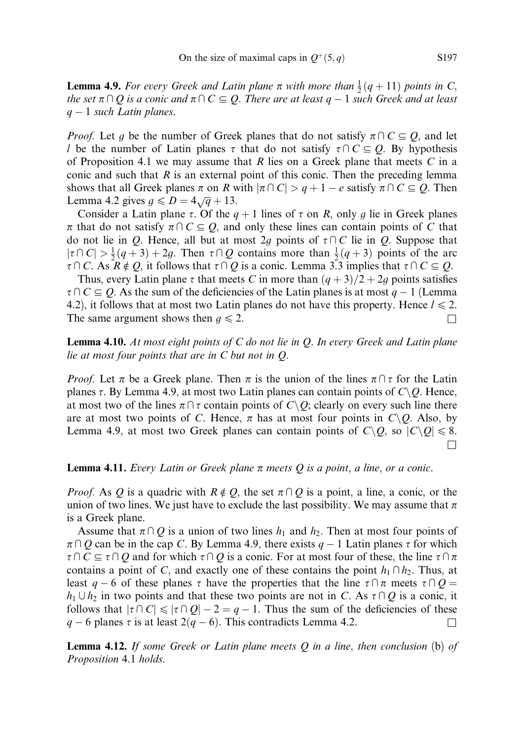**Lemma 4.9.** For every Greek and Latin plane  $\pi$  with more than  $\frac{1}{2}(q+11)$  points in C, the set  $\pi \cap Q$  is a conic and  $\pi \cap C \subseteq Q$ . There are at least  $q-1$  such Greek and at least  $q-1$  such Latin planes.

*Proof.* Let g be the number of Greek planes that do not satisfy  $\pi \cap C \subseteq Q$ , and let l be the number of Latin planes  $\tau$  that do not satisfy  $\tau \cap C \subseteq Q$ . By hypothesis of Proposition 4.1 we may assume that R lies on a Greek plane that meets  $C$  in a conic and such that  $R$  is an external point of this conic. Then the preceding lemma shows that all Greek planes  $\pi$  on R with  $|\pi \cap C| > q + 1 - e$  satisfy  $\pi \cap C \subseteq Q$ . Then Lemma 4.2 gives  $g \le D = 4\sqrt{q} + 13$ .

Consider a Latin plane  $\tau$ . Of the  $q + 1$  lines of  $\tau$  on R, only g lie in Greek planes  $\pi$  that do not satisfy  $\pi \cap C \subseteq Q$ , and only these lines can contain points of C that do not lie in Q. Hence, all but at most 2g points of  $\tau \cap C$  lie in Q. Suppose that  $|\tau \cap C| > \frac{1}{2}(q+3) + 2g$ . Then  $\tau \cap Q$  contains more than  $\frac{1}{2}(q+3)$  points of the arc  $\tau \cap C$ . As  $R \notin Q$ , it follows that  $\tau \cap Q$  is a conic. Lemma 3.3 implies that  $\tau \cap C \subseteq Q$ .

Thus, every Latin plane  $\tau$  that meets C in more than  $(q+3)/2+2g$  points satisfies  $\tau \cap C \subseteq Q$ . As the sum of the deficiencies of the Latin planes is at most  $q - 1$  (Lemma 4.2), it follows that at most two Latin planes do not have this property. Hence  $l \le 2$ . The same argument shows then  $g \le 2$ .

**Lemma 4.10.** At most eight points of  $C$  do not lie in  $Q$ . In every Greek and Latin plane lie at most four points that are in C but not in Q.

*Proof.* Let  $\pi$  be a Greek plane. Then  $\pi$  is the union of the lines  $\pi \cap \tau$  for the Latin planes  $\tau$ . By Lemma 4.9, at most two Latin planes can contain points of  $C\setminus Q$ . Hence, at most two of the lines  $\pi \cap \tau$  contain points of  $C \setminus Q$ ; clearly on every such line there are at most two points of C. Hence,  $\pi$  has at most four points in  $C\setminus Q$ . Also, by Lemma 4.9, at most two Greek planes can contain points of  $C\backslash Q$ , so  $|C\backslash Q|\leq 8$ .  $\Box$ 

# **Lemma 4.11.** Every Latin or Greek plane  $\pi$  meets Q is a point, a line, or a conic.

*Proof.* As Q is a quadric with  $R \notin Q$ , the set  $\pi \cap Q$  is a point, a line, a conic, or the union of two lines. We just have to exclude the last possibility. We may assume that  $\pi$ is a Greek plane.

Assume that  $\pi \cap Q$  is a union of two lines  $h_1$  and  $h_2$ . Then at most four points of  $\pi \cap Q$  can be in the cap C. By Lemma 4.9, there exists  $q - 1$  Latin planes  $\tau$  for which  $\tau \cap C \subseteq \tau \cap Q$  and for which  $\tau \cap Q$  is a conic. For at most four of these, the line  $\tau \cap \pi$ contains a point of C, and exactly one of these contains the point  $h_1 \cap h_2$ . Thus, at least  $q - 6$  of these planes  $\tau$  have the properties that the line  $\tau \cap \pi$  meets  $\tau \cap Q =$  $h_1 \cup h_2$  in two points and that these two points are not in C. As  $\tau \cap Q$  is a conic, it follows that  $|\tau \cap C| \le |\tau \cap Q| - 2 = q - 1$ . Thus the sum of the deficiencies of these  $q - 6$  planes  $\tau$  is at least  $2(q - 6)$ . This contradicts Lemma 4.2.

**Lemma 4.12.** If some Greek or Latin plane meets  $Q$  in a line, then conclusion (b) of Proposition 4.1 holds.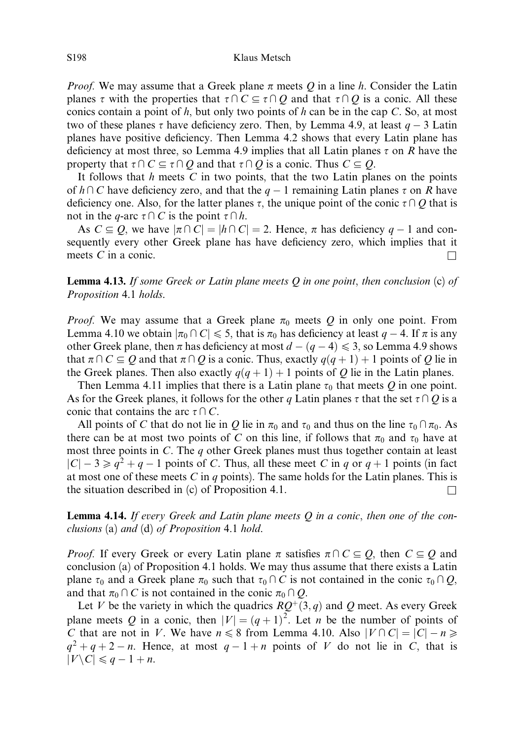*Proof.* We may assume that a Greek plane  $\pi$  meets Q in a line h. Consider the Latin planes  $\tau$  with the properties that  $\tau\cap C \subseteq \tau\cap Q$  and that  $\tau\cap Q$  is a conic. All these conics contain a point of h, but only two points of h can be in the cap C. So, at most two of these planes  $\tau$  have deficiency zero. Then, by Lemma 4.9, at least  $q - 3$  Latin planes have positive deficiency. Then Lemma 4.2 shows that every Latin plane has deficiency at most three, so Lemma 4.9 implies that all Latin planes  $\tau$  on R have the property that  $\tau \cap C \subseteq \tau \cap Q$  and that  $\tau \cap Q$  is a conic. Thus  $C \subseteq Q$ .

It follows that  $h$  meets  $C$  in two points, that the two Latin planes on the points of  $h \cap C$  have deficiency zero, and that the  $q - 1$  remaining Latin planes  $\tau$  on R have deficiency one. Also, for the latter planes  $\tau$ , the unique point of the conic  $\tau\cap O$  that is not in the q-arc  $\tau\cap C$  is the point  $\tau\cap h$ .

As  $C \subseteq Q$ , we have  $|\pi \cap C| = |h \cap C| = 2$ . Hence,  $\pi$  has deficiency  $q - 1$  and consequently every other Greek plane has have deficiency zero, which implies that it meets  $C$  in a conic.

**Lemma 4.13.** If some Greek or Latin plane meets Q in one point, then conclusion  $(c)$  of Proposition 4.1 holds.

*Proof.* We may assume that a Greek plane  $\pi_0$  meets Q in only one point. From Lemma 4.10 we obtain  $|\pi_0 \cap C| \leq 5$ , that is  $\pi_0$  has deficiency at least  $q - 4$ . If  $\pi$  is any other Greek plane, then  $\pi$  has deficiency at most  $d - (q - 4) \leq 3$ , so Lemma 4.9 shows that  $\pi \cap C \subseteq O$  and that  $\pi \cap O$  is a conic. Thus, exactly  $q(q + 1) + 1$  points of O lie in the Greek planes. Then also exactly  $q(q + 1) + 1$  points of Q lie in the Latin planes.

Then Lemma 4.11 implies that there is a Latin plane  $\tau_0$  that meets Q in one point. As for the Greek planes, it follows for the other q Latin planes  $\tau$  that the set  $\tau \cap Q$  is a conic that contains the arc  $\tau \cap C$ .

All points of C that do not lie in Q lie in  $\pi_0$  and  $\tau_0$  and thus on the line  $\tau_0 \cap \pi_0$ . As there can be at most two points of C on this line, if follows that  $\pi_0$  and  $\tau_0$  have at most three points in  $C$ . The  $q$  other Greek planes must thus together contain at least  $|C| - 3 \ge q^2 + q - 1$  points of C. Thus, all these meet C in q or  $q + 1$  points (in fact at most one of these meets C in q points). The same holds for the Latin planes. This is the situation described in (c) of Proposition 4.1.  $\Box$ 

**Lemma 4.14.** If every Greek and Latin plane meets  $Q$  in a conic, then one of the conclusions (a) and (d) of Proposition 4.1 hold.

*Proof.* If every Greek or every Latin plane  $\pi$  satisfies  $\pi \cap C \subseteq Q$ , then  $C \subseteq Q$  and conclusion (a) of Proposition 4.1 holds. We may thus assume that there exists a Latin plane  $\tau_0$  and a Greek plane  $\pi_0$  such that  $\tau_0 \cap C$  is not contained in the conic  $\tau_0 \cap Q$ , and that  $\pi_0 \cap C$  is not contained in the conic  $\pi_0 \cap Q$ .

Let V be the variety in which the quadrics  $RQ^+(3, q)$  and Q meet. As every Greek plane meets Q in a conic, then  $|V| = (q + 1)^2$ . Let n be the number of points of C that are not in V. We have  $n \leq 8$  from Lemma 4.10. Also  $|V \cap C| = |C| - n \geq$  $q^2 + q + 2 - n$ . Hence, at most  $q - 1 + n$  points of V do not lie in C, that is  $|V \backslash C| \leqslant q-1+n$ .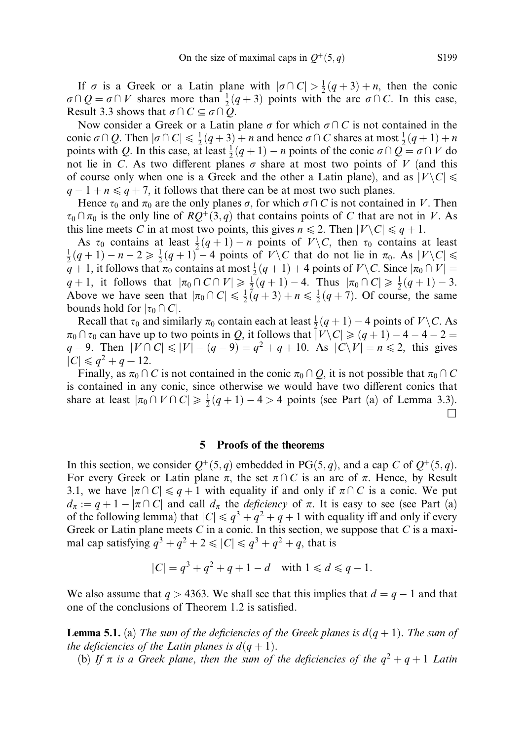If  $\sigma$  is a Greek or a Latin plane with  $|\sigma \cap C| > \frac{1}{2}(q+3) + n$ , then the conic  $\sigma \cap Q = \sigma \cap V$  shares more than  $\frac{1}{2}(q+3)$  points with the arc  $\sigma \cap C$ . In this case, Result 3.3 shows that  $\sigma \cap C \subseteq \sigma \cap O$ .

Now consider a Greek or a Latin plane  $\sigma$  for which  $\sigma \cap C$  is not contained in the conic  $\sigma \cap Q$ . Then  $|\sigma \cap C| \leq \frac{1}{2}(q+3) + n$  and hence  $\sigma \cap C$  shares at most  $\frac{1}{2}(q+1) + n$ points with Q. In this case, at least  $\frac{1}{2}(q+1) - n$  points of the conic  $\sigma \cap Q = \sigma \cap V$  do not lie in C. As two different planes  $\sigma$  share at most two points of V (and this of course only when one is a Greek and the other a Latin plane), and as  $|V \setminus C| \le$  $q-1+n \leq q+7$ , it follows that there can be at most two such planes.

Hence  $\tau_0$  and  $\pi_0$  are the only planes  $\sigma$ , for which  $\sigma \cap C$  is not contained in V. Then  $\tau_0 \cap \pi_0$  is the only line of  $RQ^+(3, q)$  that contains points of C that are not in V. As this line meets C in at most two points, this gives  $n \leq 2$ . Then  $|V \setminus C| \leq q + 1$ .

As  $\tau_0$  contains at least  $\frac{1}{2}(q+1) - n$  points of  $V \setminus C$ , then  $\tau_0$  contains at least  $\frac{1}{2}(q+1) - n - 2 \ge \frac{1}{2}(q+1) - 4$  points of  $V \setminus C$  that do not lie in  $\pi_0$ . As  $|V \setminus C| \le$  $q + 1$ , it follows that  $\pi_0$  contains at most  $\frac{1}{2}(q + 1) + 4$  points of  $V \setminus C$ . Since  $|\pi_0 \cap V|$  =  $q+1$ , it follows that  $|\pi_0 \cap C \cap V| \geq \frac{1}{2}(q+1) - 4$ . Thus  $|\pi_0 \cap C| \geq \frac{1}{2}(q+1) - 3$ . Above we have seen that  $|\pi_0 \cap C| \leq \frac{1}{2}(q+3) + n \leq \frac{1}{2}(q+7)$ . Of course, the same bounds hold for  $|\tau_0 \cap C|$ .

Recall that  $\tau_0$  and similarly  $\pi_0$  contain each at least  $\frac{1}{2}(q+1) - 4$  points of  $V \setminus C$ . As  $\pi_0 \cap \pi_0$  can have up to two points in Q, it follows that  $|V \setminus C| \geqslant (q + 1) - 4 - 4 - 2 = 1$  $q - 9$ . Then  $|V \cap C| \le |V| - (q - 9) = q^2 + q + 10$ . As  $|C \setminus V| = n \le 2$ , this gives  $|C| \leq q^2 + q + 12.$ 

Finally, as  $\pi_0 \cap C$  is not contained in the conic  $\pi_0 \cap Q$ , it is not possible that  $\pi_0 \cap C$ is contained in any conic, since otherwise we would have two different conics that share at least  $|\pi_0 \cap V \cap C| \ge \frac{1}{2}(q+1) - 4 > 4$  points (see Part (a) of Lemma 3.3).  $\Box$ 

## 5 Proofs of the theorems

In this section, we consider  $Q^+(5, q)$  embedded in PG $(5, q)$ , and a cap C of  $Q^+(5, q)$ . For every Greek or Latin plane  $\pi$ , the set  $\pi \cap C$  is an arc of  $\pi$ . Hence, by Result 3.1, we have  $|\pi \cap C| \leq q + 1$  with equality if and only if  $\pi \cap C$  is a conic. We put  $d_{\pi} := q + 1 - |\pi \cap C|$  and call  $d_{\pi}$  the *deficiency* of  $\pi$ . It is easy to see (see Part (a) of the following lemma) that  $|C| \le q^3 + q^2 + q + 1$  with equality iff and only if every Greek or Latin plane meets  $C$  in a conic. In this section, we suppose that  $C$  is a maximal cap satisfying  $q^3 + q^2 + 2 \leq |C| \leq q^3 + q^2 + q$ , that is

$$
|C| = q^3 + q^2 + q + 1 - d \quad \text{with } 1 \leq d \leq q - 1.
$$

We also assume that  $q > 4363$ . We shall see that this implies that  $d = q - 1$  and that one of the conclusions of Theorem 1.2 is satisfied.

**Lemma 5.1.** (a) The sum of the deficiencies of the Greek planes is  $d(q + 1)$ . The sum of the deficiencies of the Latin planes is  $d(q + 1)$ .

(b) If  $\pi$  is a Greek plane, then the sum of the deficiencies of the  $q^2 + q + 1$  Latin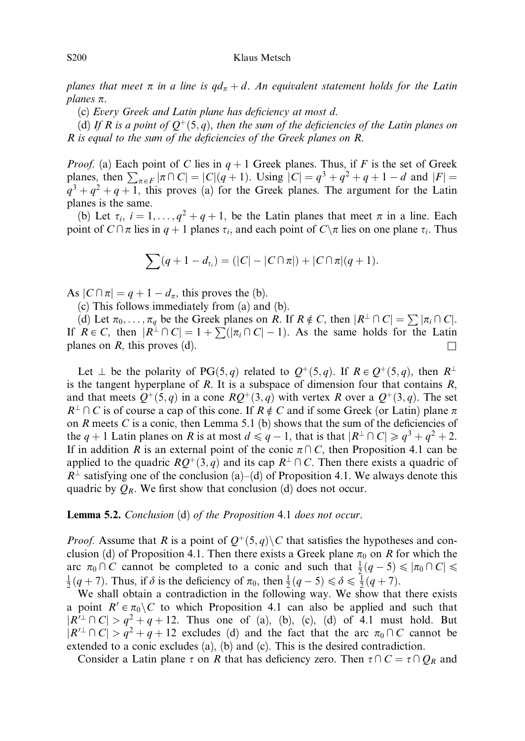#### S200 Klaus Metsch

planes that meet  $\pi$  in a line is  $qd_{\pi}+d$ . An equivalent statement holds for the Latin planes  $\pi$ .

(c) Every Greek and Latin plane has deficiency at most d.

(d) If R is a point of  $O^+(5, q)$ , then the sum of the deficiencies of the Latin planes on R is equal to the sum of the deficiencies of the Greek planes on R.

*Proof.* (a) Each point of C lies in  $q + 1$  Greek planes. Thus, if F is the set of Greek planes, then  $\sum_{\pi \in F} |\pi \cap C| = |C|(q+1)$ . Using  $|C| = q^3 + q^2 + q + 1 - d$  and  $|F| =$  $q^3 + q^2 + q + 1$ , this proves (a) for the Greek planes. The argument for the Latin planes is the same.

(b) Let  $\tau_i$ ,  $i = 1, \ldots, q^2 + q + 1$ , be the Latin planes that meet  $\pi$  in a line. Each point of  $C \cap \pi$  lies in  $q + 1$  planes  $\tau_i$ , and each point of  $C \setminus \pi$  lies on one plane  $\tau_i$ . Thus

$$
\sum (q+1-d_{\tau_i}) = (|C| - |C \cap \pi|) + |C \cap \pi|(q+1).
$$

As  $|C \cap \pi| = q + 1 - d_{\pi}$ , this proves the (b).

(c) This follows immediately from (a) and (b).

(d) Let  $\pi_0, \ldots, \pi_q$  be the Greek planes on R. If  $R \notin C$ , then  $|R^{\perp} \cap C| = \sum |\pi_i \cap C|$ . If  $R \in C$ , then  $|R^{\perp} \cap C| = 1 + \sum (|\pi_i \cap C| - 1)$ . As the same holds for the Latin planes on R, this proves (d).  $\Box$ 

Let  $\perp$  be the polarity of PG $(5, q)$  related to  $Q^+(5, q)$ . If  $R \in Q^+(5, q)$ , then  $R^{\perp}$ is the tangent hyperplane of R. It is a subspace of dimension four that contains  $R$ , and that meets  $Q^+(5,q)$  in a cone  $RQ^+(3,q)$  with vertex R over a  $Q^+(3,q)$ . The set  $R^{\perp} \cap C$  is of course a cap of this cone. If  $R \notin C$  and if some Greek (or Latin) plane  $\pi$ on  $R$  meets  $C$  is a conic, then Lemma 5.1 (b) shows that the sum of the deficiencies of the  $q + 1$  Latin planes on R is at most  $d \le q - 1$ , that is that  $|R^{\perp} \cap C| \ge q^3 + q^2 + 2$ . If in addition R is an external point of the conic  $\pi \cap C$ , then Proposition 4.1 can be applied to the quadric  $RQ^+(3, q)$  and its cap  $R^{\perp} \cap C$ . Then there exists a quadric of  $R^{\perp}$  satisfying one of the conclusion (a)–(d) of Proposition 4.1. We always denote this quadric by  $Q_R$ . We first show that conclusion (d) does not occur.

#### Lemma 5.2. Conclusion (d) of the Proposition 4.1 does not occur.

*Proof.* Assume that R is a point of  $Q^+(5,q)$  C that satisfies the hypotheses and conclusion (d) of Proposition 4.1. Then there exists a Greek plane  $\pi_0$  on R for which the arc  $\pi_0 \cap C$  cannot be completed to a conic and such that  $\frac{1}{2}(q-5) \leq |\pi_0 \cap C| \leq$  $\frac{1}{2}(q+7)$ . Thus, if  $\delta$  is the deficiency of  $\pi_0$ , then  $\frac{1}{2}(q-5) \leq \delta \leq \frac{1}{2}(q+7)$ .

We shall obtain a contradiction in the following way. We show that there exists a point  $R' \in \pi_0 \backslash C$  to which Proposition 4.1 can also be applied and such that  $|R'^{\perp} \cap C| > q^2 + q + 12$ . Thus one of (a), (b), (c), (d) of 4.1 must hold. But  $|R'^{\perp} \cap C| > q^2 + q + 12$  excludes (d) and the fact that the arc  $\pi_0 \cap C$  cannot be extended to a conic excludes (a), (b) and (c). This is the desired contradiction.

Consider a Latin plane  $\tau$  on R that has deficiency zero. Then  $\tau \cap C = \tau \cap Q_R$  and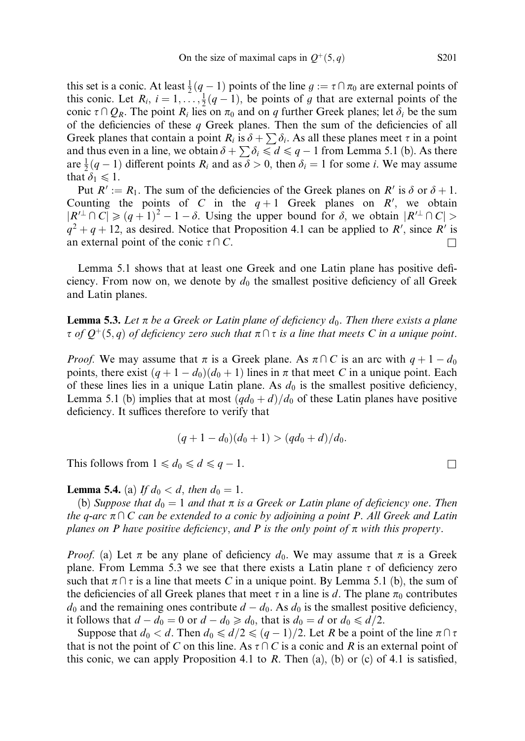this set is a conic. At least  $\frac{1}{2}(q-1)$  points of the line  $g := \tau \cap \pi_0$  are external points of this conic. Let  $R_i$ ,  $i = 1, \ldots, \frac{1}{2}(q-1)$ , be points of g that are external points of the conic  $\tau \cap Q_R$ . The point  $R_i$  lies on  $\pi_0$  and on q further Greek planes; let  $\delta_i$  be the sum of the deficiencies of these  $q$  Greek planes. Then the sum of the deficiencies of all Greek planes that contain a point  $R_i$  is  $\delta + \sum \delta_i$ . As all these planes meet  $\tau$  in a point and thus even in a line, we obtain  $\delta + \sum \delta_i \leq d \leq q - 1$  from Lemma 5.1 (b). As there are  $\frac{1}{2}(q-1)$  different points  $R_i$  and as  $\delta > 0$ , then  $\delta_i = 1$  for some *i*. We may assume that  $\delta_1 \leq 1$ .

Put  $R' := R_1$ . The sum of the deficiencies of the Greek planes on R' is  $\delta$  or  $\delta + 1$ . Counting the points of C in the  $q+1$  Greek planes on R', we obtain  $|R'^{\perp} \cap C| \geq (q+1)^{2} - 1 - \delta$ . Using the upper bound for  $\delta$ , we obtain  $|R'^{\perp} \cap C| >$  $q^2 + q + 12$ , as desired. Notice that Proposition 4.1 can be applied to R', since R' is an external point of the conic  $\tau \cap C$ .

Lemma 5.1 shows that at least one Greek and one Latin plane has positive deficiency. From now on, we denote by  $d_0$  the smallest positive deficiency of all Greek and Latin planes.

**Lemma 5.3.** Let  $\pi$  be a Greek or Latin plane of deficiency  $d_0$ . Then there exists a plane  $\tau$  of  $Q^+(5,q)$  of deficiency zero such that  $\pi \cap \tau$  is a line that meets C in a unique point.

*Proof.* We may assume that  $\pi$  is a Greek plane. As  $\pi \cap C$  is an arc with  $q + 1 - d_0$ points, there exist  $(q + 1 - d_0)(d_0 + 1)$  lines in  $\pi$  that meet C in a unique point. Each of these lines lies in a unique Latin plane. As  $d_0$  is the smallest positive deficiency, Lemma 5.1 (b) implies that at most  $\left(\frac{qd_0+d}{d_0} - d\right)$  of these Latin planes have positive deficiency. It suffices therefore to verify that

$$
(q+1-d_0)(d_0+1)>(qd_0+d)/d_0.
$$

This follows from  $1 \leq d_0 \leq d \leq q - 1$ .

**Lemma 5.4.** (a) If  $d_0 < d$ , then  $d_0 = 1$ .

(b) Suppose that  $d_0 = 1$  and that  $\pi$  is a Greek or Latin plane of deficiency one. Then the q-arc  $\pi\cap C$  can be extended to a conic by adjoining a point P. All Greek and Latin planes on P have positive deficiency, and P is the only point of  $\pi$  with this property.

*Proof.* (a) Let  $\pi$  be any plane of deficiency  $d_0$ . We may assume that  $\pi$  is a Greek plane. From Lemma 5.3 we see that there exists a Latin plane  $\tau$  of deficiency zero such that  $\pi \cap \tau$  is a line that meets C in a unique point. By Lemma 5.1 (b), the sum of the deficiencies of all Greek planes that meet  $\tau$  in a line is d. The plane  $\pi_0$  contributes  $d_0$  and the remaining ones contribute  $d - d_0$ . As  $d_0$  is the smallest positive deficiency, it follows that  $d - d_0 = 0$  or  $d - d_0 \ge d_0$ , that is  $d_0 = d$  or  $d_0 \le d/2$ .

Suppose that  $d_0 < d$ . Then  $d_0 \le d/2 \le (q-1)/2$ . Let R be a point of the line  $\pi \cap \tau$ that is not the point of C on this line. As  $\tau \cap C$  is a conic and R is an external point of this conic, we can apply Proposition 4.1 to R. Then (a), (b) or (c) of 4.1 is satisfied,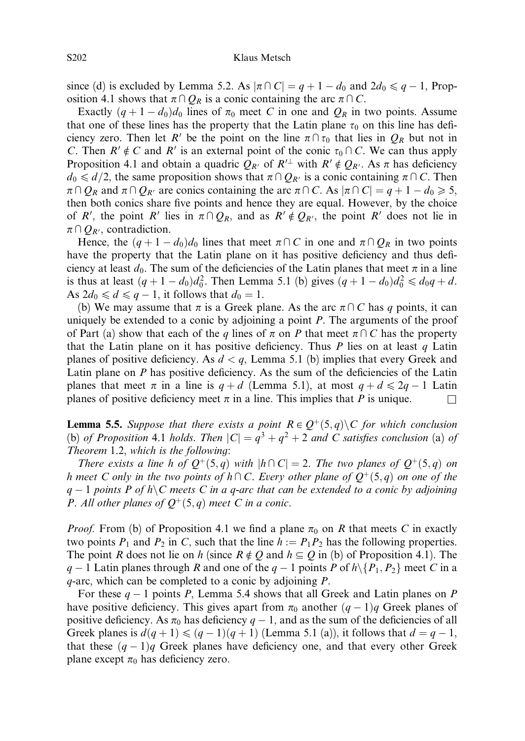since (d) is excluded by Lemma 5.2. As  $|\pi \cap C| = q + 1 - d_0$  and  $2d_0 \leq q - 1$ , Proposition 4.1 shows that  $\pi \cap Q_R$  is a conic containing the arc  $\pi \cap C$ .

Exactly  $(q + 1 - d_0)d_0$  lines of  $\pi_0$  meet C in one and  $Q_R$  in two points. Assume that one of these lines has the property that the Latin plane  $\tau_0$  on this line has deficiency zero. Then let R' be the point on the line  $\pi \cap \tau_0$  that lies in  $Q_R$  but not in C. Then  $R' \notin C$  and  $R'$  is an external point of the conic  $\tau_0 \cap C$ . We can thus apply Proposition 4.1 and obtain a quadric  $Q_{R'}$  of  $R'^{\perp}$  with  $R' \notin Q_{R'}$ . As  $\pi$  has deficiency  $d_0 \le d/2$ , the same proposition shows that  $\pi \cap Q_{R'}$  is a conic containing  $\pi \cap C$ . Then  $\pi \cap Q_R$  and  $\pi \cap Q_{R'}$  are conics containing the arc  $\pi \cap C$ . As  $|\pi \cap C| = q + 1 - d_0 \geq 5$ , then both conics share five points and hence they are equal. However, by the choice of R', the point R' lies in  $\pi \cap Q_R$ , and as  $R' \notin Q_{R'}$ , the point R' does not lie in  $\pi \cap Q_{R}$ , contradiction.

Hence, the  $(q + 1 - d_0)d_0$  lines that meet  $\pi \cap C$  in one and  $\pi \cap Q_R$  in two points have the property that the Latin plane on it has positive deficiency and thus deficiency at least  $d_0$ . The sum of the deficiencies of the Latin planes that meet  $\pi$  in a line is thus at least  $(q + 1 - d_0)d_0^2$ . Then Lemma 5.1 (b) gives  $(q + 1 - d_0)d_0^2 \le d_0q + d$ . As  $2d_0 \leq d \leq q-1$ , it follows that  $d_0 = 1$ .

(b) We may assume that  $\pi$  is a Greek plane. As the arc  $\pi \cap C$  has q points, it can uniquely be extended to a conic by adjoining a point  $P$ . The arguments of the proof of Part (a) show that each of the q lines of  $\pi$  on P that meet  $\pi \cap C$  has the property that the Latin plane on it has positive deficiency. Thus  $P$  lies on at least  $q$  Latin planes of positive deficiency. As  $d < q$ , Lemma 5.1 (b) implies that every Greek and Latin plane on  $P$  has positive deficiency. As the sum of the deficiencies of the Latin planes that meet  $\pi$  in a line is  $q + d$  (Lemma 5.1), at most  $q + d \leq 2q - 1$  Latin planes of positive deficiency meet  $\pi$  in a line. This implies that P is unique.

**Lemma 5.5.** Suppose that there exists a point  $R \in Q^+(5,q) \setminus C$  for which conclusion (b) of Proposition 4.1 holds. Then  $|C| = q^3 + q^2 + 2$  and C satisfies conclusion (a) of Theorem 1.2, which is the following:

There exists a line h of  $Q^+(5,q)$  with  $|h\cap C|=2$ . The two planes of  $Q^+(5,q)$  on h meet C only in the two points of  $h \cap C$ . Every other plane of  $Q^+(5, q)$  on one of the  $q-1$  points P of h C meets C in a q-arc that can be extended to a conic by adjoining P. All other planes of  $Q^+(5,q)$  meet C in a conic.

*Proof.* From (b) of Proposition 4.1 we find a plane  $\pi_0$  on R that meets C in exactly two points  $P_1$  and  $P_2$  in C, such that the line  $h := P_1P_2$  has the following properties. The point R does not lie on h (since  $R \notin Q$  and  $h \subseteq Q$  in (b) of Proposition 4.1). The  $q - 1$  Latin planes through R and one of the  $q - 1$  points P of  $h \setminus \{P_1, P_2\}$  meet C in a  $q$ -arc, which can be completed to a conic by adjoining  $P$ .

For these  $q - 1$  points P, Lemma 5.4 shows that all Greek and Latin planes on P have positive deficiency. This gives apart from  $\pi_0$  another  $(q - 1)q$  Greek planes of positive deficiency. As  $\pi_0$  has deficiency  $q - 1$ , and as the sum of the deficiencies of all Greek planes is  $d(q + 1) \leqslant (q - 1)(q + 1)$  (Lemma 5.1 (a)), it follows that  $d = q - 1$ , that these  $(q - 1)q$  Greek planes have deficiency one, and that every other Greek plane except  $\pi_0$  has deficiency zero.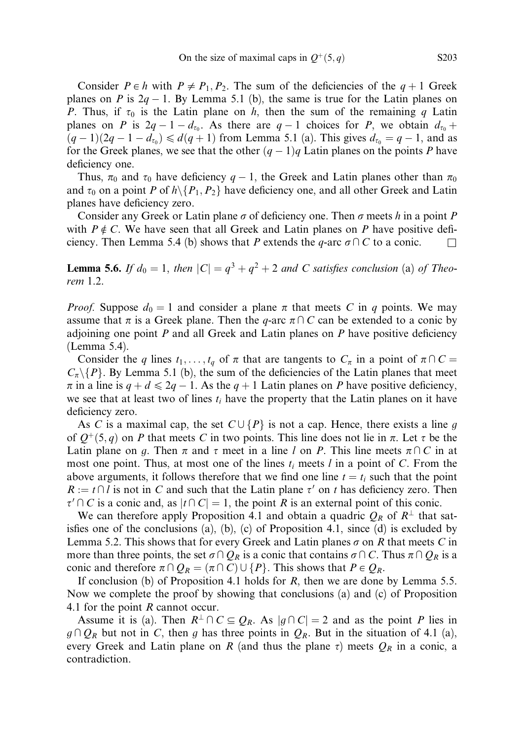Consider  $P \in h$  with  $P \neq P_1, P_2$ . The sum of the deficiencies of the  $q + 1$  Greek planes on P is  $2q - 1$ . By Lemma 5.1 (b), the same is true for the Latin planes on P. Thus, if  $\tau_0$  is the Latin plane on h, then the sum of the remaining q Latin planes on P is  $2q - 1 - d_{\tau_0}$ . As there are  $q - 1$  choices for P, we obtain  $d_{\tau_0}$  +  $(q-1)(2q-1-d_{\tau_0}) \le d(q+1)$  from Lemma 5.1 (a). This gives  $d_{\tau_0} = q-1$ , and as for the Greek planes, we see that the other  $(q - 1)q$  Latin planes on the points P have deficiency one.

Thus,  $\pi_0$  and  $\tau_0$  have deficiency  $q-1$ , the Greek and Latin planes other than  $\pi_0$ and  $\tau_0$  on a point P of  $h \setminus \{P_1, P_2\}$  have deficiency one, and all other Greek and Latin planes have deficiency zero.

Consider any Greek or Latin plane  $\sigma$  of deficiency one. Then  $\sigma$  meets h in a point P with  $P \notin C$ . We have seen that all Greek and Latin planes on P have positive deficiency. Then Lemma 5.4 (b) shows that P extends the q-arc  $\sigma \cap C$  to a conic.

**Lemma 5.6.** If  $d_0 = 1$ , then  $|C| = q^3 + q^2 + 2$  and C satisfies conclusion (a) of Theorem 1.2.

*Proof.* Suppose  $d_0 = 1$  and consider a plane  $\pi$  that meets C in q points. We may assume that  $\pi$  is a Greek plane. Then the q-arc  $\pi \cap C$  can be extended to a conic by adjoining one point  $P$  and all Greek and Latin planes on  $P$  have positive deficiency (Lemma 5.4).

Consider the q lines  $t_1, \ldots, t_q$  of  $\pi$  that are tangents to  $C_{\pi}$  in a point of  $\pi \cap C =$  $C_{\pi} \setminus \{P\}$ . By Lemma 5.1 (b), the sum of the deficiencies of the Latin planes that meet  $\pi$  in a line is  $q + d \leq 2q - 1$ . As the  $q + 1$  Latin planes on P have positive deficiency, we see that at least two of lines  $t_i$  have the property that the Latin planes on it have deficiency zero.

As C is a maximal cap, the set  $C \cup \{P\}$  is not a cap. Hence, there exists a line g of  $Q^+(5,q)$  on P that meets C in two points. This line does not lie in  $\pi$ . Let  $\tau$  be the Latin plane on g. Then  $\pi$  and  $\tau$  meet in a line l on P. This line meets  $\pi \cap C$  in at most one point. Thus, at most one of the lines  $t_i$  meets  $l$  in a point of  $C$ . From the above arguments, it follows therefore that we find one line  $t = t_i$  such that the point  $R := t \cap l$  is not in C and such that the Latin plane  $\tau'$  on t has deficiency zero. Then  $\tau' \cap C$  is a conic and, as  $|t \cap C| = 1$ , the point R is an external point of this conic.

We can therefore apply Proposition 4.1 and obtain a quadric  $Q_R$  of  $R^{\perp}$  that satisfies one of the conclusions (a), (b), (c) of Proposition 4.1, since (d) is excluded by Lemma 5.2. This shows that for every Greek and Latin planes  $\sigma$  on R that meets C in more than three points, the set  $\sigma \cap Q_R$  is a conic that contains  $\sigma \cap C$ . Thus  $\pi \cap Q_R$  is a conic and therefore  $\pi \cap Q_R = (\pi \cap C) \cup \{P\}$ . This shows that  $P \in Q_R$ .

If conclusion (b) of Proposition 4.1 holds for  $R$ , then we are done by Lemma 5.5. Now we complete the proof by showing that conclusions (a) and (c) of Proposition 4.1 for the point R cannot occur.

Assume it is (a). Then  $R^{\perp} \cap C \subseteq Q_R$ . As  $|g \cap C| = 2$  and as the point P lies in  $g \cap Q_R$  but not in C, then g has three points in  $Q_R$ . But in the situation of 4.1 (a), every Greek and Latin plane on R (and thus the plane  $\tau$ ) meets  $Q_R$  in a conic, a contradiction.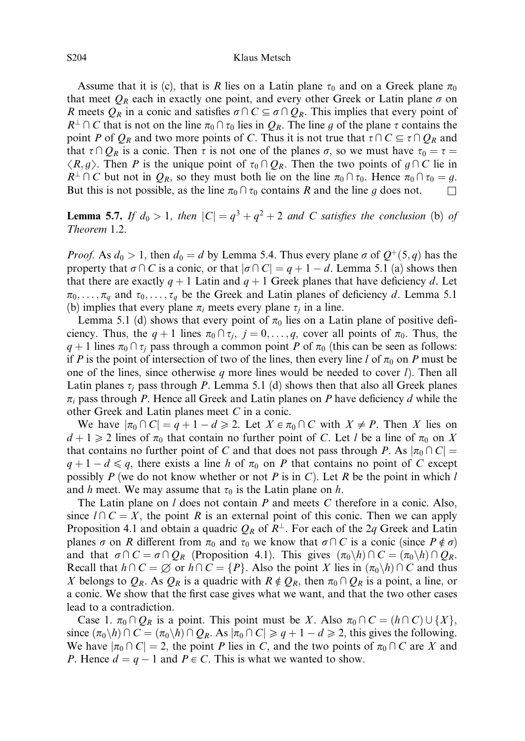Assume that it is (c), that is R lies on a Latin plane  $\tau_0$  and on a Greek plane  $\pi_0$ that meet  $Q_R$  each in exactly one point, and every other Greek or Latin plane  $\sigma$  on R meets  $Q_R$  in a conic and satisfies  $\sigma \cap C \subseteq \sigma \cap Q_R$ . This implies that every point of  $R^{\perp} \cap C$  that is not on the line  $\pi_0 \cap \tau_0$  lies in  $Q_R$ . The line g of the plane  $\tau$  contains the point P of  $Q_R$  and two more points of C. Thus it is not true that  $\tau \cap C \subseteq \tau \cap Q_R$  and that  $\tau \cap Q_R$  is a conic. Then  $\tau$  is not one of the planes  $\sigma$ , so we must have  $\tau_0 = \tau =$  $\langle R, g \rangle$ . Then P is the unique point of  $\tau_0 \cap Q_R$ . Then the two points of  $g \cap C$  lie in  $R^{\perp} \cap C$  but not in  $Q_R$ , so they must both lie on the line  $\pi_0 \cap \tau_0$ . Hence  $\pi_0 \cap \tau_0 = g$ . But this is not possible, as the line  $\pi_0 \cap \tau_0$  contains R and the line g does not.

**Lemma 5.7.** If  $d_0 > 1$ , then  $|C| = q^3 + q^2 + 2$  and C satisfies the conclusion (b) of Theorem 1.2.

*Proof.* As  $d_0 > 1$ , then  $d_0 = d$  by Lemma 5.4. Thus every plane  $\sigma$  of  $Q^+(5, q)$  has the property that  $\sigma \cap C$  is a conic, or that  $|\sigma \cap C| = q + 1 - d$ . Lemma 5.1 (a) shows then that there are exactly  $q + 1$  Latin and  $q + 1$  Greek planes that have deficiency d. Let  $\pi_0, \ldots, \pi_q$  and  $\tau_0, \ldots, \tau_q$  be the Greek and Latin planes of deficiency d. Lemma 5.1 (b) implies that every plane  $\pi_i$  meets every plane  $\tau_i$  in a line.

Lemma 5.1 (d) shows that every point of  $\pi_0$  lies on a Latin plane of positive deficiency. Thus, the  $q + 1$  lines  $\pi_0 \cap \tau_i$ ,  $j = 0, \ldots, q$ , cover all points of  $\pi_0$ . Thus, the  $q + 1$  lines  $\pi_0 \cap \tau_i$  pass through a common point P of  $\pi_0$  (this can be seen as follows: if P is the point of intersection of two of the lines, then every line l of  $\pi_0$  on P must be one of the lines, since otherwise q more lines would be needed to cover  $l$ ). Then all Latin planes  $\tau_i$  pass through P. Lemma 5.1 (d) shows then that also all Greek planes  $\pi_i$  pass through P. Hence all Greek and Latin planes on P have deficiency d while the other Greek and Latin planes meet C in a conic.

We have  $|\pi_0 \cap C| = q + 1 - d \ge 2$ . Let  $X \in \pi_0 \cap C$  with  $X \ne P$ . Then X lies on  $d+1 \geq 2$  lines of  $\pi_0$  that contain no further point of C. Let l be a line of  $\pi_0$  on X that contains no further point of C and that does not pass through P. As  $|\pi_0 \cap C|$  =  $q + 1 - d \leq q$ , there exists a line h of  $\pi_0$  on P that contains no point of C except possibly P (we do not know whether or not P is in C). Let R be the point in which  $l$ and h meet. We may assume that  $\tau_0$  is the Latin plane on h.

The Latin plane on  $l$  does not contain  $P$  and meets  $C$  therefore in a conic. Also, since  $l \cap C = X$ , the point R is an external point of this conic. Then we can apply Proposition 4.1 and obtain a quadric  $Q_R$  of  $R^{\perp}$ . For each of the 2q Greek and Latin planes  $\sigma$  on R different from  $\pi_0$  and  $\tau_0$  we know that  $\sigma \cap C$  is a conic (since  $P \notin \sigma$ ) and that  $\sigma \cap C = \sigma \cap Q_R$  (Proposition 4.1). This gives  $(\pi_0 \setminus h) \cap C = (\pi_0 \setminus h) \cap Q_R$ . Recall that  $h \cap C = \emptyset$  or  $h \cap C = \{P\}$ . Also the point X lies in  $(\pi_0 \backslash h) \cap C$  and thus X belongs to  $Q_R$ . As  $Q_R$  is a quadric with  $R \notin Q_R$ , then  $\pi_0 \cap Q_R$  is a point, a line, or a conic. We show that the first case gives what we want, and that the two other cases lead to a contradiction.

Case 1.  $\pi_0 \cap Q_R$  is a point. This point must be X. Also  $\pi_0 \cap C = (h \cap C) \cup \{X\}$ , since  $(\pi_0 \backslash h) \cap C = (\pi_0 \backslash h) \cap Q_R$ . As  $|\pi_0 \cap C| \geq q + 1 - d \geq 2$ , this gives the following. We have  $|\pi_0 \cap C| = 2$ , the point P lies in C, and the two points of  $\pi_0 \cap C$  are X and P. Hence  $d = q - 1$  and  $P \in C$ . This is what we wanted to show.